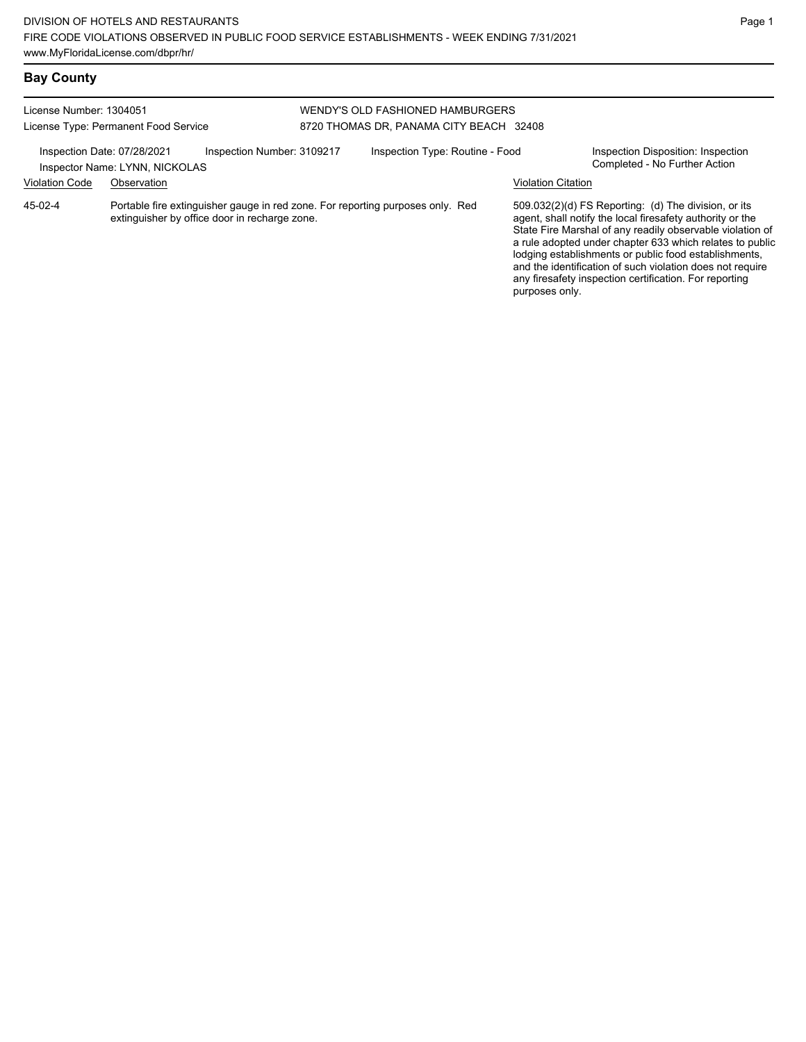#### **Bay County**

#### License Number: 1304051 License Type: Permanent Food Service WENDY'S OLD FASHIONED HAMBURGERS 8720 THOMAS DR, PANAMA CITY BEACH 32408 Inspection Date: 07/28/2021 Inspection Number: 3109217 Inspection Type: Routine - Food Inspection Disposition: Inspection<br>Inspector Name: I YNN NICKOLAS Inspector Name: LYNN, NICKOLAS Violation Code Observation Violation Citation Portable fire extinguisher gauge in red zone. For reporting purposes only. Red extinguisher by office door in recharge zone. 509.032(2)(d) FS Reporting: (d) The division, or its agent, shall notify the local firesafety authority or the State Fire Marshal of any readily observable violation of a rule adopted under chapter 633 which relates to public lodging establishments or public food establishments, and the identification of such violation does not require any firesafety inspection certification. For reporting 45-02-4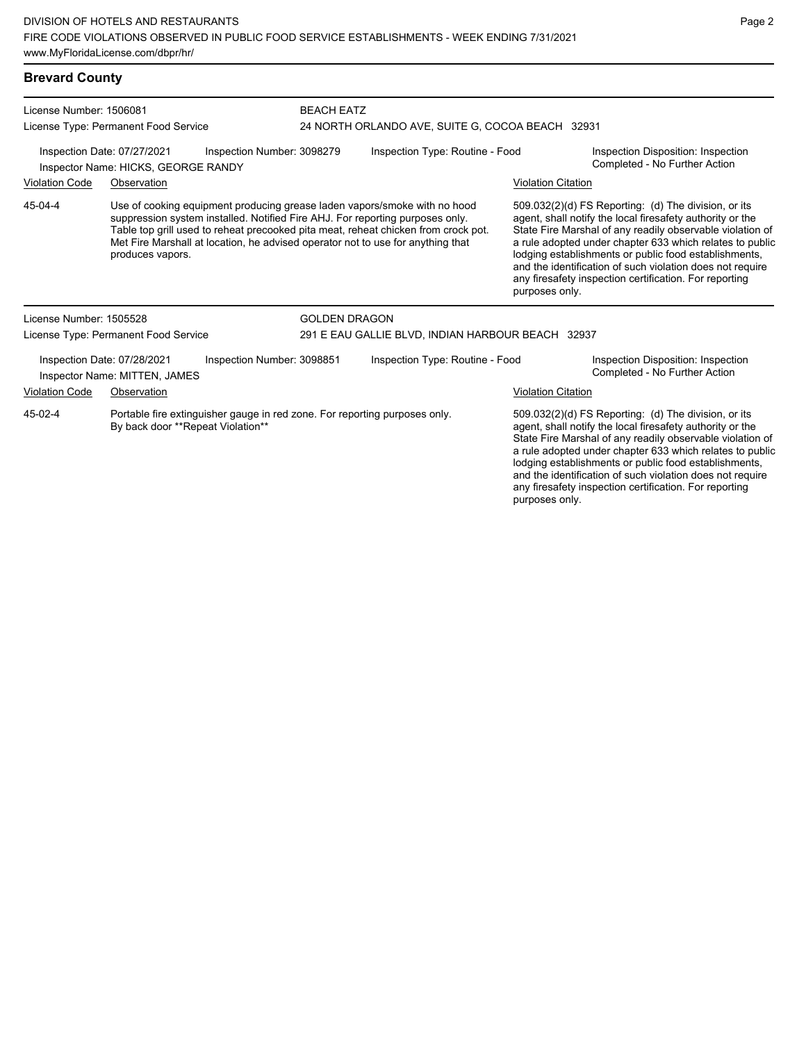| <b>Brevard County</b>                                                                                                                                                                                                                                                        |                                                              |                                                                            |                                                                                    |                                 |                                                                                                                                                                                                                                                                                                                                                                                                                                              |                                                                                                                   |
|------------------------------------------------------------------------------------------------------------------------------------------------------------------------------------------------------------------------------------------------------------------------------|--------------------------------------------------------------|----------------------------------------------------------------------------|------------------------------------------------------------------------------------|---------------------------------|----------------------------------------------------------------------------------------------------------------------------------------------------------------------------------------------------------------------------------------------------------------------------------------------------------------------------------------------------------------------------------------------------------------------------------------------|-------------------------------------------------------------------------------------------------------------------|
| License Number: 1506081<br>License Type: Permanent Food Service                                                                                                                                                                                                              |                                                              | <b>BEACH EATZ</b>                                                          | 24 NORTH ORLANDO AVE, SUITE G, COCOA BEACH 32931                                   |                                 |                                                                                                                                                                                                                                                                                                                                                                                                                                              |                                                                                                                   |
| Inspection Number: 3098279<br>Inspection Date: 07/27/2021<br>Inspector Name: HICKS, GEORGE RANDY                                                                                                                                                                             |                                                              |                                                                            | Inspection Type: Routine - Food                                                    |                                 | Inspection Disposition: Inspection<br>Completed - No Further Action                                                                                                                                                                                                                                                                                                                                                                          |                                                                                                                   |
| <b>Violation Code</b>                                                                                                                                                                                                                                                        | Observation                                                  |                                                                            |                                                                                    |                                 | <b>Violation Citation</b>                                                                                                                                                                                                                                                                                                                                                                                                                    |                                                                                                                   |
| 45-04-4<br>Use of cooking equipment producing grease laden vapors/smoke with no hood<br>suppression system installed. Notified Fire AHJ. For reporting purposes only.<br>Met Fire Marshall at location, he advised operator not to use for anything that<br>produces vapors. |                                                              |                                                                            | Table top grill used to reheat precooked pita meat, reheat chicken from crock pot. |                                 | 509.032(2)(d) FS Reporting: (d) The division, or its<br>agent, shall notify the local firesafety authority or the<br>State Fire Marshal of any readily observable violation of<br>a rule adopted under chapter 633 which relates to public<br>lodging establishments or public food establishments,<br>and the identification of such violation does not require<br>any firesafety inspection certification. For reporting<br>purposes only. |                                                                                                                   |
| License Number: 1505528                                                                                                                                                                                                                                                      |                                                              |                                                                            | <b>GOLDEN DRAGON</b>                                                               |                                 |                                                                                                                                                                                                                                                                                                                                                                                                                                              |                                                                                                                   |
|                                                                                                                                                                                                                                                                              | License Type: Permanent Food Service                         |                                                                            | 291 E EAU GALLIE BLVD, INDIAN HARBOUR BEACH 32937                                  |                                 |                                                                                                                                                                                                                                                                                                                                                                                                                                              |                                                                                                                   |
|                                                                                                                                                                                                                                                                              | Inspection Date: 07/28/2021<br>Inspector Name: MITTEN, JAMES | Inspection Number: 3098851                                                 |                                                                                    | Inspection Type: Routine - Food |                                                                                                                                                                                                                                                                                                                                                                                                                                              | Inspection Disposition: Inspection<br>Completed - No Further Action                                               |
| Violation Code                                                                                                                                                                                                                                                               | Observation                                                  |                                                                            |                                                                                    |                                 | <b>Violation Citation</b>                                                                                                                                                                                                                                                                                                                                                                                                                    |                                                                                                                   |
| 45-02-4                                                                                                                                                                                                                                                                      | By back door **Repeat Violation**                            | Portable fire extinguisher gauge in red zone. For reporting purposes only. |                                                                                    |                                 |                                                                                                                                                                                                                                                                                                                                                                                                                                              | 509.032(2)(d) FS Reporting: (d) The division, or its<br>agent, shall notify the local firesafety authority or the |

agent, shall notify the local firesafety authority or the State Fire Marshal of any readily observable violation of a rule adopted under chapter 633 which relates to public lodging establishments or public food establishments, and the identification of such violation does not require any firesafety inspection certification. For reporting purposes only.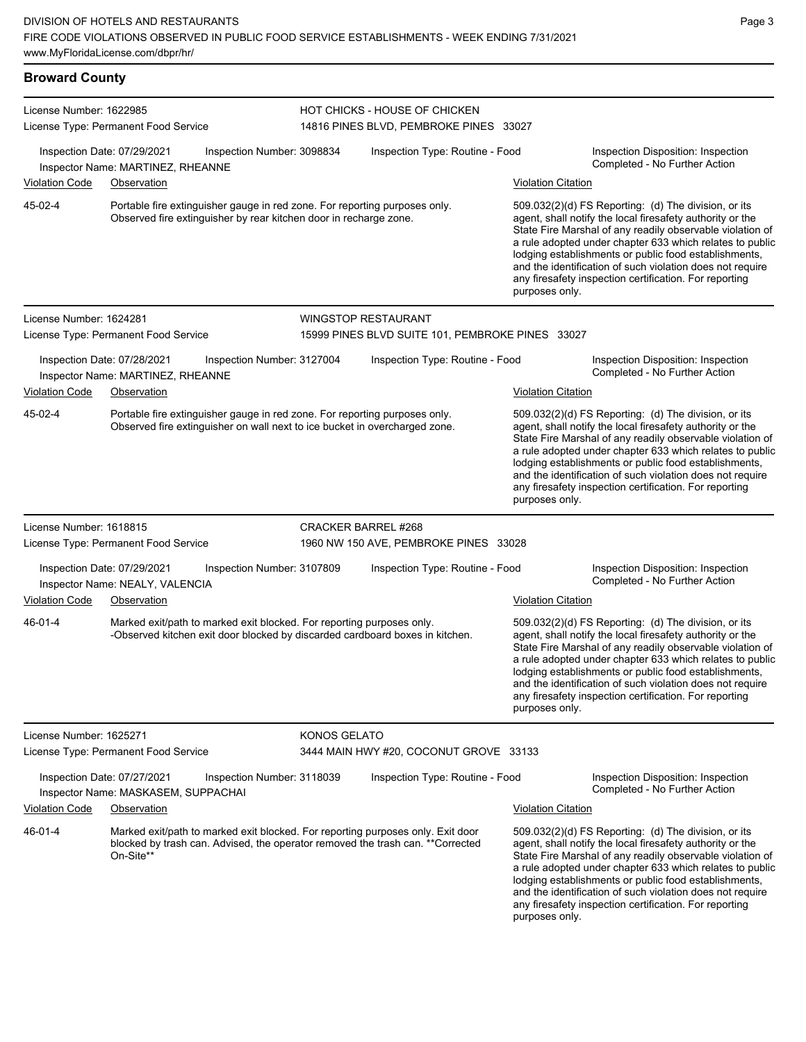| <b>Broward County</b>   |                                                                                                                                                                                |                            |                                                                         |                                                                                                                                                                                                                                                                                                                                                                                                                                              |                                                                                                                                                                                                                                                                                                                                                                                                                            |
|-------------------------|--------------------------------------------------------------------------------------------------------------------------------------------------------------------------------|----------------------------|-------------------------------------------------------------------------|----------------------------------------------------------------------------------------------------------------------------------------------------------------------------------------------------------------------------------------------------------------------------------------------------------------------------------------------------------------------------------------------------------------------------------------------|----------------------------------------------------------------------------------------------------------------------------------------------------------------------------------------------------------------------------------------------------------------------------------------------------------------------------------------------------------------------------------------------------------------------------|
| License Number: 1622985 | License Type: Permanent Food Service                                                                                                                                           |                            | HOT CHICKS - HOUSE OF CHICKEN<br>14816 PINES BLVD, PEMBROKE PINES 33027 |                                                                                                                                                                                                                                                                                                                                                                                                                                              |                                                                                                                                                                                                                                                                                                                                                                                                                            |
| Violation Code          | Inspection Date: 07/29/2021<br>Inspector Name: MARTINEZ, RHEANNE<br>Observation                                                                                                | Inspection Number: 3098834 | Inspection Type: Routine - Food                                         | <b>Violation Citation</b>                                                                                                                                                                                                                                                                                                                                                                                                                    | Inspection Disposition: Inspection<br>Completed - No Further Action                                                                                                                                                                                                                                                                                                                                                        |
| 45-02-4                 | Portable fire extinguisher gauge in red zone. For reporting purposes only.<br>Observed fire extinguisher by rear kitchen door in recharge zone.                                |                            |                                                                         | 509.032(2)(d) FS Reporting: (d) The division, or its<br>agent, shall notify the local firesafety authority or the<br>State Fire Marshal of any readily observable violation of<br>a rule adopted under chapter 633 which relates to public<br>lodging establishments or public food establishments,<br>and the identification of such violation does not require<br>any firesafety inspection certification. For reporting<br>purposes only. |                                                                                                                                                                                                                                                                                                                                                                                                                            |
| License Number: 1624281 |                                                                                                                                                                                |                            | <b>WINGSTOP RESTAURANT</b>                                              |                                                                                                                                                                                                                                                                                                                                                                                                                                              |                                                                                                                                                                                                                                                                                                                                                                                                                            |
|                         | License Type: Permanent Food Service                                                                                                                                           |                            | 15999 PINES BLVD SUITE 101, PEMBROKE PINES 33027                        |                                                                                                                                                                                                                                                                                                                                                                                                                                              |                                                                                                                                                                                                                                                                                                                                                                                                                            |
|                         | Inspection Date: 07/28/2021<br>Inspector Name: MARTINEZ, RHEANNE                                                                                                               | Inspection Number: 3127004 | Inspection Type: Routine - Food                                         |                                                                                                                                                                                                                                                                                                                                                                                                                                              | Inspection Disposition: Inspection<br>Completed - No Further Action                                                                                                                                                                                                                                                                                                                                                        |
| <b>Violation Code</b>   | Observation                                                                                                                                                                    |                            |                                                                         | <b>Violation Citation</b>                                                                                                                                                                                                                                                                                                                                                                                                                    |                                                                                                                                                                                                                                                                                                                                                                                                                            |
| 45-02-4                 | Portable fire extinguisher gauge in red zone. For reporting purposes only.<br>Observed fire extinguisher on wall next to ice bucket in overcharged zone.                       |                            |                                                                         | purposes only.                                                                                                                                                                                                                                                                                                                                                                                                                               | 509.032(2)(d) FS Reporting: (d) The division, or its<br>agent, shall notify the local firesafety authority or the<br>State Fire Marshal of any readily observable violation of<br>a rule adopted under chapter 633 which relates to public<br>lodging establishments or public food establishments,<br>and the identification of such violation does not require<br>any firesafety inspection certification. For reporting |
| License Number: 1618815 |                                                                                                                                                                                |                            | CRACKER BARREL #268                                                     |                                                                                                                                                                                                                                                                                                                                                                                                                                              |                                                                                                                                                                                                                                                                                                                                                                                                                            |
|                         | License Type: Permanent Food Service                                                                                                                                           |                            | 1960 NW 150 AVE, PEMBROKE PINES 33028                                   |                                                                                                                                                                                                                                                                                                                                                                                                                                              |                                                                                                                                                                                                                                                                                                                                                                                                                            |
|                         | Inspection Date: 07/29/2021<br>Inspector Name: NEALY, VALENCIA                                                                                                                 | Inspection Number: 3107809 | Inspection Type: Routine - Food                                         |                                                                                                                                                                                                                                                                                                                                                                                                                                              | Inspection Disposition: Inspection<br>Completed - No Further Action                                                                                                                                                                                                                                                                                                                                                        |
| <b>Violation Code</b>   | Observation                                                                                                                                                                    |                            |                                                                         | <b>Violation Citation</b>                                                                                                                                                                                                                                                                                                                                                                                                                    |                                                                                                                                                                                                                                                                                                                                                                                                                            |
| 46-01-4                 | Marked exit/path to marked exit blocked. For reporting purposes only.<br>-Observed kitchen exit door blocked by discarded cardboard boxes in kitchen.                          |                            |                                                                         | purposes only.                                                                                                                                                                                                                                                                                                                                                                                                                               | 509.032(2)(d) FS Reporting: (d) The division, or its<br>agent, shall notify the local firesafety authority or the<br>State Fire Marshal of any readily observable violation of<br>a rule adopted under chapter 633 which relates to public<br>lodging establishments or public food establishments,<br>and the identification of such violation does not require<br>any firesafety inspection certification. For reporting |
| License Number: 1625271 |                                                                                                                                                                                | <b>KONOS GELATO</b>        |                                                                         |                                                                                                                                                                                                                                                                                                                                                                                                                                              |                                                                                                                                                                                                                                                                                                                                                                                                                            |
|                         | License Type: Permanent Food Service                                                                                                                                           |                            | 3444 MAIN HWY #20, COCONUT GROVE 33133                                  |                                                                                                                                                                                                                                                                                                                                                                                                                                              |                                                                                                                                                                                                                                                                                                                                                                                                                            |
|                         | Inspection Date: 07/27/2021<br>Inspector Name: MASKASEM, SUPPACHAI                                                                                                             | Inspection Number: 3118039 | Inspection Type: Routine - Food                                         |                                                                                                                                                                                                                                                                                                                                                                                                                                              | Inspection Disposition: Inspection<br>Completed - No Further Action                                                                                                                                                                                                                                                                                                                                                        |
| Violation Code          | Observation                                                                                                                                                                    |                            |                                                                         | <b>Violation Citation</b>                                                                                                                                                                                                                                                                                                                                                                                                                    |                                                                                                                                                                                                                                                                                                                                                                                                                            |
| 46-01-4                 | Marked exit/path to marked exit blocked. For reporting purposes only. Exit door<br>blocked by trash can. Advised, the operator removed the trash can. **Corrected<br>On-Site** |                            |                                                                         | purposes only.                                                                                                                                                                                                                                                                                                                                                                                                                               | 509.032(2)(d) FS Reporting: (d) The division, or its<br>agent, shall notify the local firesafety authority or the<br>State Fire Marshal of any readily observable violation of<br>a rule adopted under chapter 633 which relates to public<br>lodging establishments or public food establishments,<br>and the identification of such violation does not require<br>any firesafety inspection certification. For reporting |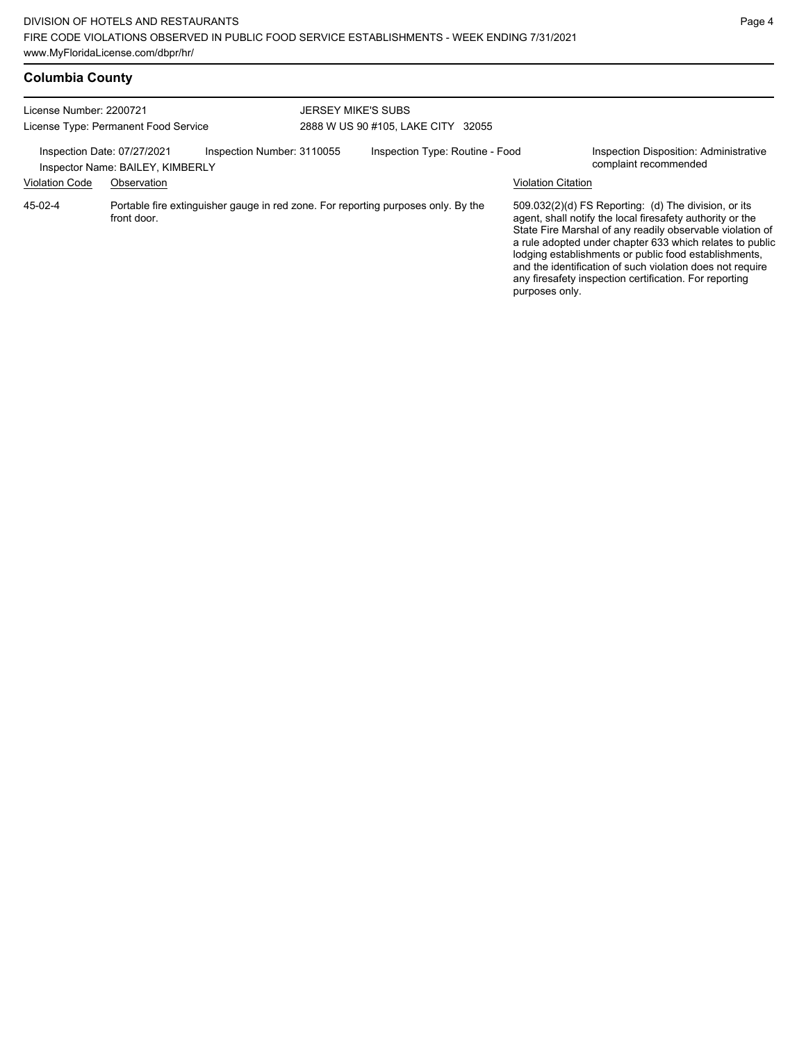| <b>Columbia County</b> |  |
|------------------------|--|
|------------------------|--|

| License Number: 2200721<br>License Type: Permanent Food Service |                                                 | <b>JERSEY MIKE'S SUBS</b><br>2888 W US 90 #105, LAKE CITY 32055 |                                                                                   |                                 |                           |                                                                                                                                                                                                                                                                                                                                                                                                                              |
|-----------------------------------------------------------------|-------------------------------------------------|-----------------------------------------------------------------|-----------------------------------------------------------------------------------|---------------------------------|---------------------------|------------------------------------------------------------------------------------------------------------------------------------------------------------------------------------------------------------------------------------------------------------------------------------------------------------------------------------------------------------------------------------------------------------------------------|
| Inspection Date: 07/27/2021<br><b>Violation Code</b>            | Inspector Name: BAILEY, KIMBERLY<br>Observation | Inspection Number: 3110055                                      |                                                                                   | Inspection Type: Routine - Food | <b>Violation Citation</b> | Inspection Disposition: Administrative<br>complaint recommended                                                                                                                                                                                                                                                                                                                                                              |
| $45-02-4$                                                       | front door.                                     |                                                                 | Portable fire extinguisher gauge in red zone. For reporting purposes only. By the |                                 |                           | $509.032(2)(d)$ FS Reporting: (d) The division, or its<br>agent, shall notify the local firesafety authority or the<br>State Fire Marshal of any readily observable violation of<br>a rule adopted under chapter 633 which relates to public<br>lodging establishments or public food establishments,<br>and the identification of such violation does not require<br>any firesafety inspection certification. For reporting |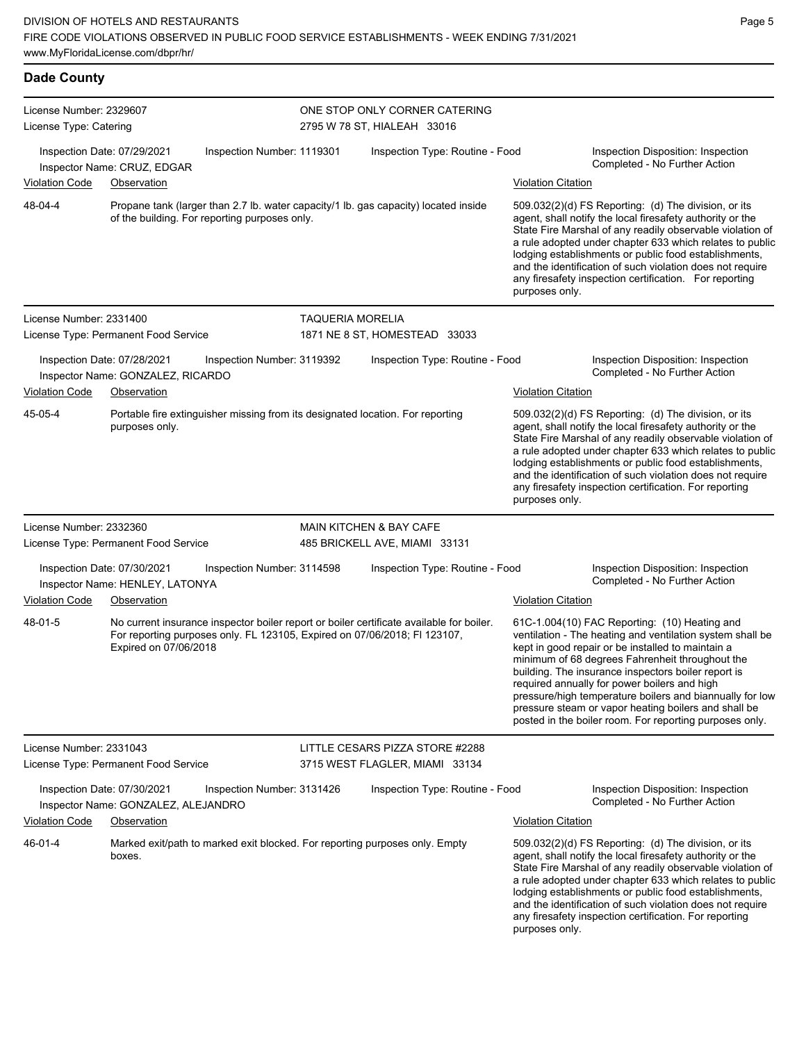| <b>Dade County</b>                                |                                                                                                                                                                                                |                         |                                                                   |                           |                                                                                                                                                                                                                                                                                                                                                                                                                                                                                                          |
|---------------------------------------------------|------------------------------------------------------------------------------------------------------------------------------------------------------------------------------------------------|-------------------------|-------------------------------------------------------------------|---------------------------|----------------------------------------------------------------------------------------------------------------------------------------------------------------------------------------------------------------------------------------------------------------------------------------------------------------------------------------------------------------------------------------------------------------------------------------------------------------------------------------------------------|
| License Number: 2329607<br>License Type: Catering |                                                                                                                                                                                                |                         | ONE STOP ONLY CORNER CATERING<br>2795 W 78 ST, HIALEAH 33016      |                           |                                                                                                                                                                                                                                                                                                                                                                                                                                                                                                          |
|                                                   | Inspection Date: 07/29/2021<br>Inspection Number: 1119301<br>Inspector Name: CRUZ, EDGAR                                                                                                       |                         | Inspection Type: Routine - Food                                   |                           | Inspection Disposition: Inspection<br>Completed - No Further Action                                                                                                                                                                                                                                                                                                                                                                                                                                      |
| <b>Violation Code</b>                             | Observation                                                                                                                                                                                    |                         |                                                                   | <b>Violation Citation</b> |                                                                                                                                                                                                                                                                                                                                                                                                                                                                                                          |
| 48-04-4                                           | Propane tank (larger than 2.7 lb. water capacity/1 lb. gas capacity) located inside<br>of the building. For reporting purposes only.                                                           |                         |                                                                   | purposes only.            | 509.032(2)(d) FS Reporting: (d) The division, or its<br>agent, shall notify the local firesafety authority or the<br>State Fire Marshal of any readily observable violation of<br>a rule adopted under chapter 633 which relates to public<br>lodging establishments or public food establishments,<br>and the identification of such violation does not require<br>any firesafety inspection certification. For reporting                                                                               |
| License Number: 2331400                           |                                                                                                                                                                                                | <b>TAQUERIA MORELIA</b> |                                                                   |                           |                                                                                                                                                                                                                                                                                                                                                                                                                                                                                                          |
|                                                   | License Type: Permanent Food Service                                                                                                                                                           |                         | 1871 NE 8 ST, HOMESTEAD 33033                                     |                           |                                                                                                                                                                                                                                                                                                                                                                                                                                                                                                          |
|                                                   | Inspection Date: 07/28/2021<br>Inspection Number: 3119392<br>Inspector Name: GONZALEZ, RICARDO                                                                                                 |                         | Inspection Type: Routine - Food                                   |                           | Inspection Disposition: Inspection<br>Completed - No Further Action                                                                                                                                                                                                                                                                                                                                                                                                                                      |
| <b>Violation Code</b>                             | Observation                                                                                                                                                                                    |                         |                                                                   | <b>Violation Citation</b> |                                                                                                                                                                                                                                                                                                                                                                                                                                                                                                          |
| 45-05-4                                           | Portable fire extinguisher missing from its designated location. For reporting<br>purposes only.                                                                                               |                         |                                                                   | purposes only.            | 509.032(2)(d) FS Reporting: (d) The division, or its<br>agent, shall notify the local firesafety authority or the<br>State Fire Marshal of any readily observable violation of<br>a rule adopted under chapter 633 which relates to public<br>lodging establishments or public food establishments,<br>and the identification of such violation does not require<br>any firesafety inspection certification. For reporting                                                                               |
| License Number: 2332360                           |                                                                                                                                                                                                |                         | <b>MAIN KITCHEN &amp; BAY CAFE</b>                                |                           |                                                                                                                                                                                                                                                                                                                                                                                                                                                                                                          |
|                                                   | License Type: Permanent Food Service                                                                                                                                                           |                         | 485 BRICKELL AVE, MIAMI 33131                                     |                           |                                                                                                                                                                                                                                                                                                                                                                                                                                                                                                          |
|                                                   | Inspection Date: 07/30/2021<br>Inspection Number: 3114598<br>Inspector Name: HENLEY, LATONYA                                                                                                   |                         | Inspection Type: Routine - Food                                   |                           | Inspection Disposition: Inspection<br>Completed - No Further Action                                                                                                                                                                                                                                                                                                                                                                                                                                      |
| <b>Violation Code</b>                             | Observation                                                                                                                                                                                    |                         |                                                                   | <b>Violation Citation</b> |                                                                                                                                                                                                                                                                                                                                                                                                                                                                                                          |
| 48-01-5                                           | No current insurance inspector boiler report or boiler certificate available for boiler.<br>For reporting purposes only. FL 123105, Expired on 07/06/2018; FI 123107,<br>Expired on 07/06/2018 |                         |                                                                   |                           | 61C-1.004(10) FAC Reporting: (10) Heating and<br>ventilation - The heating and ventilation system shall be<br>kept in good repair or be installed to maintain a<br>minimum of 68 degrees Fahrenheit throughout the<br>building. The insurance inspectors boiler report is<br>required annually for power boilers and high<br>pressure/high temperature boilers and biannually for low<br>pressure steam or vapor heating boilers and shall be<br>posted in the boiler room. For reporting purposes only. |
| License Number: 2331043                           | License Type: Permanent Food Service                                                                                                                                                           |                         | LITTLE CESARS PIZZA STORE #2288<br>3715 WEST FLAGLER, MIAMI 33134 |                           |                                                                                                                                                                                                                                                                                                                                                                                                                                                                                                          |
|                                                   | Inspection Date: 07/30/2021<br>Inspection Number: 3131426<br>Inspector Name: GONZALEZ, ALEJANDRO                                                                                               |                         | Inspection Type: Routine - Food                                   |                           | Inspection Disposition: Inspection<br>Completed - No Further Action                                                                                                                                                                                                                                                                                                                                                                                                                                      |
| <b>Violation Code</b>                             | Observation                                                                                                                                                                                    |                         |                                                                   | <b>Violation Citation</b> |                                                                                                                                                                                                                                                                                                                                                                                                                                                                                                          |
| 46-01-4                                           | Marked exit/path to marked exit blocked. For reporting purposes only. Empty<br>boxes.                                                                                                          |                         |                                                                   | purposes only.            | 509.032(2)(d) FS Reporting: (d) The division, or its<br>agent, shall notify the local firesafety authority or the<br>State Fire Marshal of any readily observable violation of<br>a rule adopted under chapter 633 which relates to public<br>lodging establishments or public food establishments,<br>and the identification of such violation does not require<br>any firesafety inspection certification. For reporting                                                                               |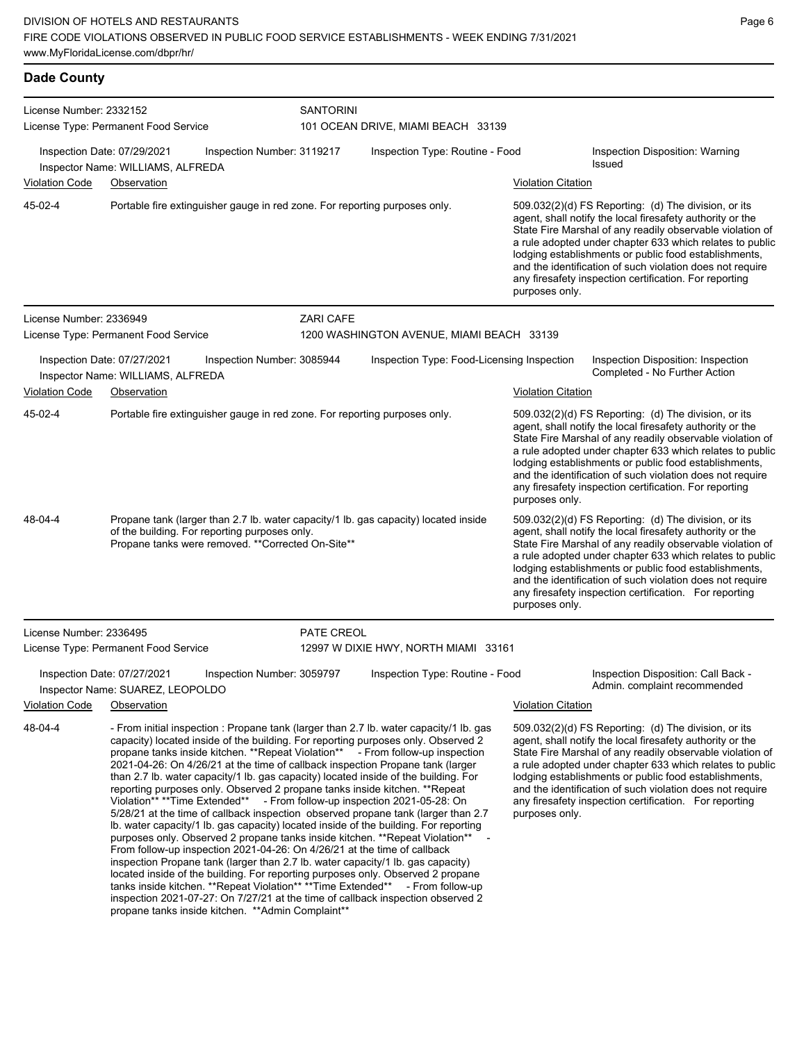| License Number: 2332152 | License Type: Permanent Food Service                                                                                                                                                                                                                                                                                                                                                                                                                                                                                                                                                                                                                                                                                                                                                                                                                                                                                                                                                                                                                                                                                                                                                                                                                                                                                                        | <b>SANTORINI</b>           | 101 OCEAN DRIVE, MIAMI BEACH 33139         |                           |                                                                                                                                                                                                                                                                                                                                                                                                                              |
|-------------------------|---------------------------------------------------------------------------------------------------------------------------------------------------------------------------------------------------------------------------------------------------------------------------------------------------------------------------------------------------------------------------------------------------------------------------------------------------------------------------------------------------------------------------------------------------------------------------------------------------------------------------------------------------------------------------------------------------------------------------------------------------------------------------------------------------------------------------------------------------------------------------------------------------------------------------------------------------------------------------------------------------------------------------------------------------------------------------------------------------------------------------------------------------------------------------------------------------------------------------------------------------------------------------------------------------------------------------------------------|----------------------------|--------------------------------------------|---------------------------|------------------------------------------------------------------------------------------------------------------------------------------------------------------------------------------------------------------------------------------------------------------------------------------------------------------------------------------------------------------------------------------------------------------------------|
|                         | Inspection Date: 07/29/2021<br>Inspector Name: WILLIAMS, ALFREDA                                                                                                                                                                                                                                                                                                                                                                                                                                                                                                                                                                                                                                                                                                                                                                                                                                                                                                                                                                                                                                                                                                                                                                                                                                                                            | Inspection Number: 3119217 | Inspection Type: Routine - Food            |                           | Inspection Disposition: Warning<br>Issued                                                                                                                                                                                                                                                                                                                                                                                    |
| Violation Code          | Observation                                                                                                                                                                                                                                                                                                                                                                                                                                                                                                                                                                                                                                                                                                                                                                                                                                                                                                                                                                                                                                                                                                                                                                                                                                                                                                                                 |                            |                                            | <b>Violation Citation</b> |                                                                                                                                                                                                                                                                                                                                                                                                                              |
| 45-02-4                 | Portable fire extinguisher gauge in red zone. For reporting purposes only.                                                                                                                                                                                                                                                                                                                                                                                                                                                                                                                                                                                                                                                                                                                                                                                                                                                                                                                                                                                                                                                                                                                                                                                                                                                                  |                            |                                            | purposes only.            | 509.032(2)(d) FS Reporting: (d) The division, or its<br>agent, shall notify the local firesafety authority or the<br>State Fire Marshal of any readily observable violation of<br>a rule adopted under chapter 633 which relates to public<br>lodging establishments or public food establishments,<br>and the identification of such violation does not require<br>any firesafety inspection certification. For reporting   |
| License Number: 2336949 |                                                                                                                                                                                                                                                                                                                                                                                                                                                                                                                                                                                                                                                                                                                                                                                                                                                                                                                                                                                                                                                                                                                                                                                                                                                                                                                                             | <b>ZARI CAFE</b>           |                                            |                           |                                                                                                                                                                                                                                                                                                                                                                                                                              |
|                         | License Type: Permanent Food Service                                                                                                                                                                                                                                                                                                                                                                                                                                                                                                                                                                                                                                                                                                                                                                                                                                                                                                                                                                                                                                                                                                                                                                                                                                                                                                        |                            | 1200 WASHINGTON AVENUE, MIAMI BEACH 33139  |                           |                                                                                                                                                                                                                                                                                                                                                                                                                              |
|                         | Inspection Date: 07/27/2021<br>Inspector Name: WILLIAMS, ALFREDA                                                                                                                                                                                                                                                                                                                                                                                                                                                                                                                                                                                                                                                                                                                                                                                                                                                                                                                                                                                                                                                                                                                                                                                                                                                                            | Inspection Number: 3085944 | Inspection Type: Food-Licensing Inspection |                           | Inspection Disposition: Inspection<br>Completed - No Further Action                                                                                                                                                                                                                                                                                                                                                          |
| <b>Violation Code</b>   | Observation                                                                                                                                                                                                                                                                                                                                                                                                                                                                                                                                                                                                                                                                                                                                                                                                                                                                                                                                                                                                                                                                                                                                                                                                                                                                                                                                 |                            |                                            | <b>Violation Citation</b> |                                                                                                                                                                                                                                                                                                                                                                                                                              |
| 45-02-4                 | Portable fire extinguisher gauge in red zone. For reporting purposes only.                                                                                                                                                                                                                                                                                                                                                                                                                                                                                                                                                                                                                                                                                                                                                                                                                                                                                                                                                                                                                                                                                                                                                                                                                                                                  |                            |                                            | purposes only.            | 509.032(2)(d) FS Reporting: (d) The division, or its<br>agent, shall notify the local firesafety authority or the<br>State Fire Marshal of any readily observable violation of<br>a rule adopted under chapter 633 which relates to public<br>lodging establishments or public food establishments,<br>and the identification of such violation does not require<br>any firesafety inspection certification. For reporting   |
| 48-04-4                 | Propane tank (larger than 2.7 lb. water capacity/1 lb. gas capacity) located inside<br>of the building. For reporting purposes only.<br>Propane tanks were removed. ** Corrected On-Site**                                                                                                                                                                                                                                                                                                                                                                                                                                                                                                                                                                                                                                                                                                                                                                                                                                                                                                                                                                                                                                                                                                                                                  |                            |                                            | purposes only.            | 509.032(2)(d) FS Reporting: (d) The division, or its<br>agent, shall notify the local firesafety authority or the<br>State Fire Marshal of any readily observable violation of<br>a rule adopted under chapter 633 which relates to public<br>lodging establishments or public food establishments,<br>and the identification of such violation does not require<br>any firesafety inspection certification. For reporting   |
| License Number: 2336495 |                                                                                                                                                                                                                                                                                                                                                                                                                                                                                                                                                                                                                                                                                                                                                                                                                                                                                                                                                                                                                                                                                                                                                                                                                                                                                                                                             | PATE CREOL                 |                                            |                           |                                                                                                                                                                                                                                                                                                                                                                                                                              |
|                         | License Type: Permanent Food Service                                                                                                                                                                                                                                                                                                                                                                                                                                                                                                                                                                                                                                                                                                                                                                                                                                                                                                                                                                                                                                                                                                                                                                                                                                                                                                        |                            | 12997 W DIXIE HWY, NORTH MIAMI 33161       |                           |                                                                                                                                                                                                                                                                                                                                                                                                                              |
|                         | Inspection Date: 07/27/2021<br>Inspector Name: SUAREZ, LEOPOLDO                                                                                                                                                                                                                                                                                                                                                                                                                                                                                                                                                                                                                                                                                                                                                                                                                                                                                                                                                                                                                                                                                                                                                                                                                                                                             | Inspection Number: 3059797 | Inspection Type: Routine - Food            |                           | Inspection Disposition: Call Back -<br>Admin. complaint recommended                                                                                                                                                                                                                                                                                                                                                          |
| <b>Violation Code</b>   | Observation                                                                                                                                                                                                                                                                                                                                                                                                                                                                                                                                                                                                                                                                                                                                                                                                                                                                                                                                                                                                                                                                                                                                                                                                                                                                                                                                 |                            |                                            | <b>Violation Citation</b> |                                                                                                                                                                                                                                                                                                                                                                                                                              |
| 48-04-4                 | - From initial inspection : Propane tank (larger than 2.7 lb. water capacity/1 lb. gas<br>capacity) located inside of the building. For reporting purposes only. Observed 2<br>propane tanks inside kitchen. **Repeat Violation** - From follow-up inspection<br>2021-04-26: On 4/26/21 at the time of callback inspection Propane tank (larger<br>than 2.7 lb. water capacity/1 lb. gas capacity) located inside of the building. For<br>reporting purposes only. Observed 2 propane tanks inside kitchen. **Repeat<br>Violation** **Time Extended** - From follow-up inspection 2021-05-28: On<br>5/28/21 at the time of callback inspection observed propane tank (larger than 2.7)<br>Ib. water capacity/1 lb. gas capacity) located inside of the building. For reporting<br>purposes only. Observed 2 propane tanks inside kitchen. ** Repeat Violation**<br>From follow-up inspection 2021-04-26: On 4/26/21 at the time of callback<br>inspection Propane tank (larger than 2.7 lb. water capacity/1 lb. gas capacity)<br>located inside of the building. For reporting purposes only. Observed 2 propane<br>tanks inside kitchen. **Repeat Violation** **Time Extended** - From follow-up<br>inspection 2021-07-27: On 7/27/21 at the time of callback inspection observed 2<br>propane tanks inside kitchen. ** Admin Complaint** |                            |                                            | purposes only.            | $509.032(2)(d)$ FS Reporting: (d) The division, or its<br>agent, shall notify the local firesafety authority or the<br>State Fire Marshal of any readily observable violation of<br>a rule adopted under chapter 633 which relates to public<br>lodging establishments or public food establishments,<br>and the identification of such violation does not require<br>any firesafety inspection certification. For reporting |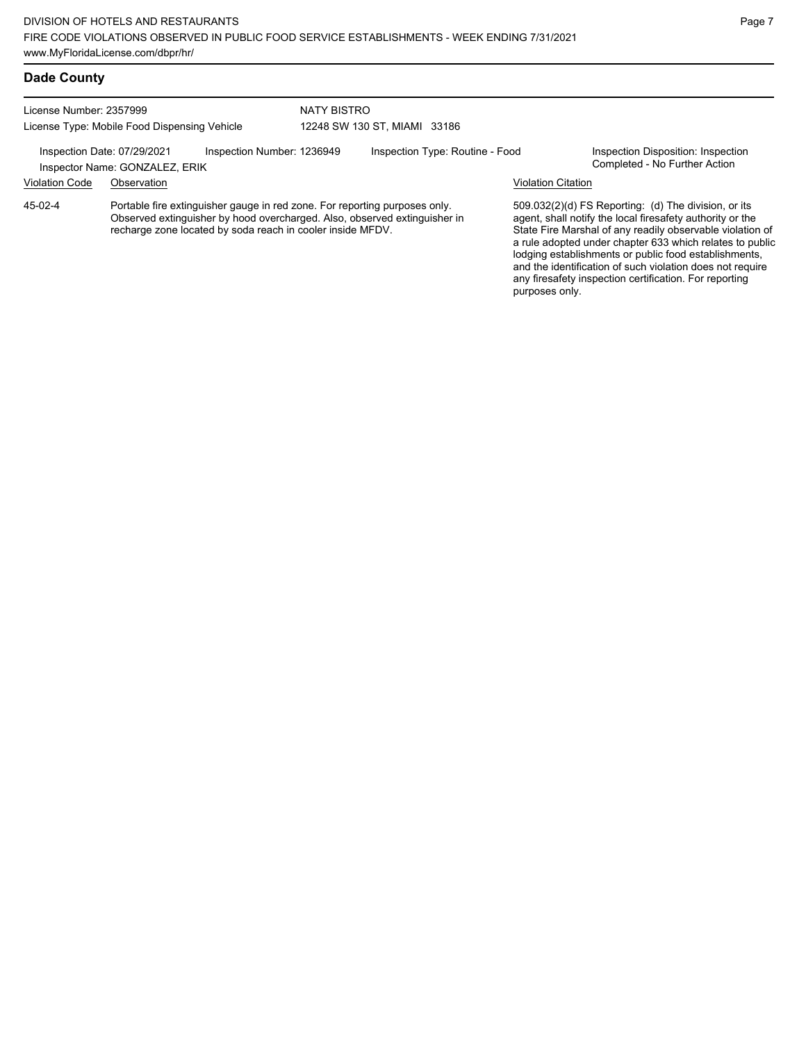#### **Dade County**

License Number: 2357999 License Type: Mobile Food Dispensing Vehicle NATY BISTRO 12248 SW 130 ST, MIAMI 33186

Inspection Date: 07/29/2021 Inspection Number: 1236949 Inspection Type: Routine - Food Inspection Disposition: Inspection<br>Inspector Name: GONZALEZ ERIK

Inspector Name: GONZALEZ, ERIK

Violation Code Observation Violation Citation

Portable fire extinguisher gauge in red zone. For reporting purposes only. Observed extinguisher by hood overcharged. Also, observed extinguisher in recharge zone located by soda reach in cooler inside MFDV. 45-02-4

509.032(2)(d) FS Reporting: (d) The division, or its agent, shall notify the local firesafety authority or the State Fire Marshal of any readily observable violation of a rule adopted under chapter 633 which relates to public lodging establishments or public food establishments, and the identification of such violation does not require any firesafety inspection certification. For reporting purposes only.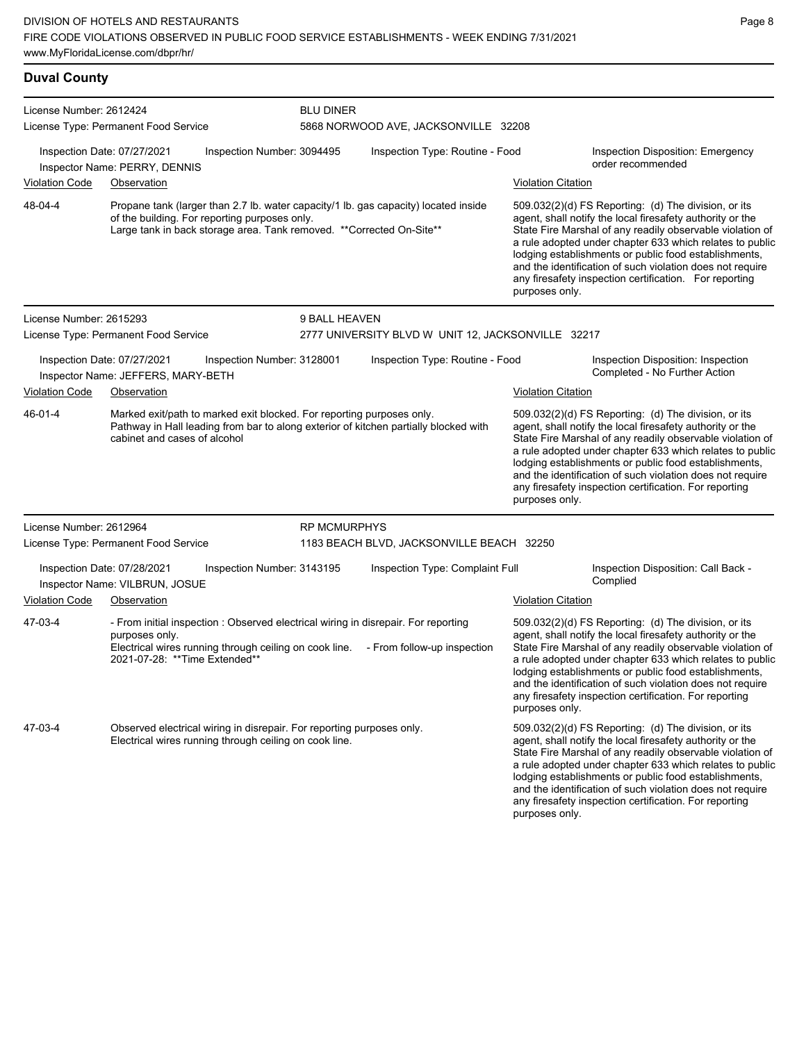#### **Duval County** License Number: 2612424 License Type: Permanent Food Service BLU DINER 5868 NORWOOD AVE, JACKSONVILLE 32208 Inspection Date: 07/27/2021 Inspection Number: 3094495 Inspection Type: Routine - Food Inspection Disposition: Emergency order recommended Inspector Name: PERRY, DENNIS Violation Code Observation Violation Citation Propane tank (larger than 2.7 lb. water capacity/1 lb. gas capacity) located inside of the building. For reporting purposes only. Large tank in back storage area. Tank removed. \*\*Corrected On-Site\*\* 509.032(2)(d) FS Reporting: (d) The division, or its agent, shall notify the local firesafety authority or the State Fire Marshal of any readily observable violation of a rule adopted under chapter 633 which relates to public lodging establishments or public food establishments, and the identification of such violation does not require any firesafety inspection certification. For reporting purposes only. 48-04-4 License Number: 2615293 License Type: Permanent Food Service 9 BALL HEAVEN 2777 UNIVERSITY BLVD W UNIT 12, JACKSONVILLE 32217 Inspection Date: 07/27/2021 Inspection Number: 3128001 Inspection Type: Routine - Food Inspection Disposition: Inspection Inspector Name: JEFFERS, MARY-BETH **Inspector Name: JEFFERS, MARY-BETH** Violation Code Observation **Violation Citation** Violation Citation Citation Marked exit/path to marked exit blocked. For reporting purposes only. Pathway in Hall leading from bar to along exterior of kitchen partially blocked with cabinet and cases of alcohol 509.032(2)(d) FS Reporting: (d) The division, or its agent, shall notify the local firesafety authority or the State Fire Marshal of any readily observable violation of a rule adopted under chapter 633 which relates to public lodging establishments or public food establishments, and the identification of such violation does not require any firesafety inspection certification. For reporting purposes only. 46-01-4 License Number: 2612964 License Type: Permanent Food Service RP MCMURPHYS 1183 BEACH BLVD, JACKSONVILLE BEACH 32250 Inspection Date: 07/28/2021 Inspection Number: 3143195 Inspection Type: Complaint Full Inspection Disposition: Call Back -<br>Inspector Name: VILBRUN JOSUE Inspector Name: VILBRUN, JOSUE Violation Code Observation Violation Citation - From initial inspection : Observed electrical wiring in disrepair. For reporting purposes only. Electrical wires running through ceiling on cook line. - From follow-up inspection 2021-07-28: \*\*Time Extended\*\* 509.032(2)(d) FS Reporting: (d) The division, or its agent, shall notify the local firesafety authority or the State Fire Marshal of any readily observable violation of a rule adopted under chapter 633 which relates to public lodging establishments or public food establishments, and the identification of such violation does not require any firesafety inspection certification. For reporting purposes only. 47-03-4 Observed electrical wiring in disrepair. For reporting purposes only. Electrical wires running through ceiling on cook line. 509.032(2)(d) FS Reporting: (d) The division, or its agent, shall notify the local firesafety authority or the State Fire Marshal of any readily observable violation of a rule adopted under chapter 633 which relates to public lodging establishments or public food establishments, and the identification of such violation does not require 47-03-4

any firesafety inspection certification. For reporting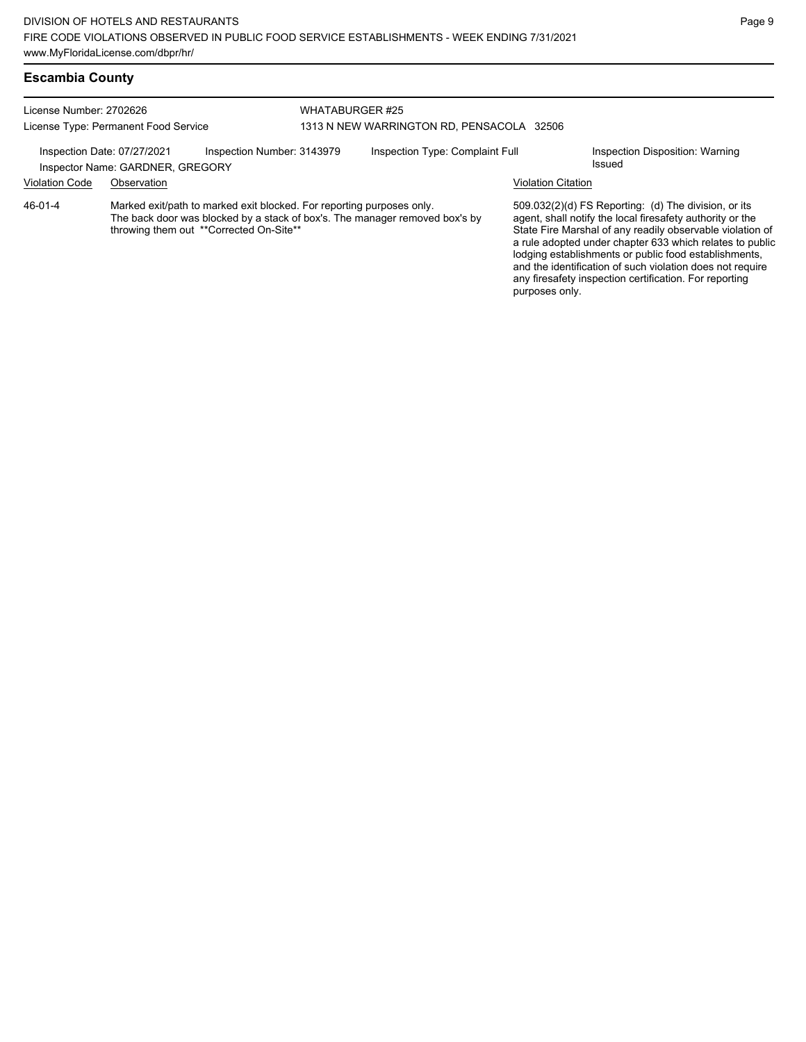### **Escambia County**

| License Number: 2702626                                                                                                                                                                                          |                                                                 |                            | WHATABURGER #25                           |                                 |                                                                                                                                                                                                                                                                                                                                                                                                                              |                                           |
|------------------------------------------------------------------------------------------------------------------------------------------------------------------------------------------------------------------|-----------------------------------------------------------------|----------------------------|-------------------------------------------|---------------------------------|------------------------------------------------------------------------------------------------------------------------------------------------------------------------------------------------------------------------------------------------------------------------------------------------------------------------------------------------------------------------------------------------------------------------------|-------------------------------------------|
| License Type: Permanent Food Service                                                                                                                                                                             |                                                                 |                            | 1313 N NEW WARRINGTON RD, PENSACOLA 32506 |                                 |                                                                                                                                                                                                                                                                                                                                                                                                                              |                                           |
|                                                                                                                                                                                                                  | Inspection Date: 07/27/2021<br>Inspector Name: GARDNER, GREGORY | Inspection Number: 3143979 |                                           | Inspection Type: Complaint Full |                                                                                                                                                                                                                                                                                                                                                                                                                              | Inspection Disposition: Warning<br>Issued |
| <b>Violation Code</b>                                                                                                                                                                                            | Observation                                                     |                            |                                           |                                 | <b>Violation Citation</b>                                                                                                                                                                                                                                                                                                                                                                                                    |                                           |
| $46 - 01 - 4$<br>Marked exit/path to marked exit blocked. For reporting purposes only.<br>The back door was blocked by a stack of box's. The manager removed box's by<br>throwing them out **Corrected On-Site** |                                                                 |                            |                                           | purposes only.                  | $509.032(2)(d)$ FS Reporting: (d) The division, or its<br>agent, shall notify the local firesafety authority or the<br>State Fire Marshal of any readily observable violation of<br>a rule adopted under chapter 633 which relates to public<br>lodging establishments or public food establishments,<br>and the identification of such violation does not require<br>any firesafety inspection certification. For reporting |                                           |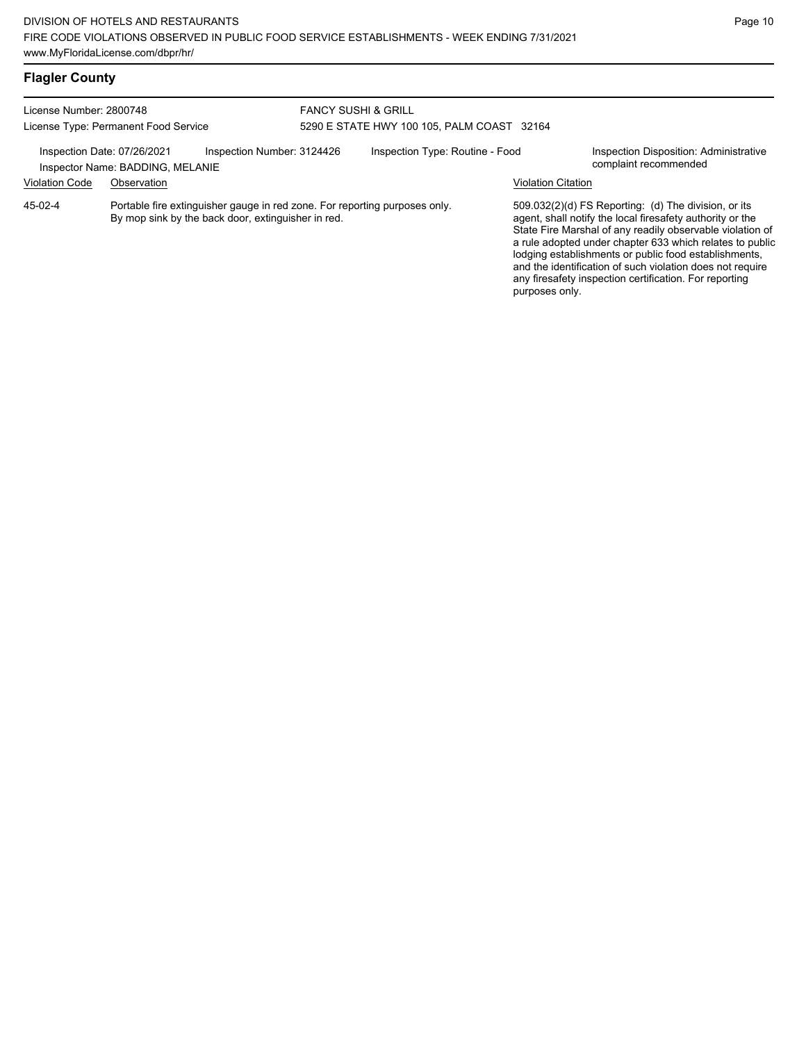# **Flagler County**

| License Number: 2800748<br>License Type: Permanent Food Service |                                                                                                                                  | <b>FANCY SUSHI &amp; GRILL</b><br>5290 E STATE HWY 100 105, PALM COAST 32164 |  |                                 |                           |                                                                                                                                                                                                                                                                                                                                                                                                                            |
|-----------------------------------------------------------------|----------------------------------------------------------------------------------------------------------------------------------|------------------------------------------------------------------------------|--|---------------------------------|---------------------------|----------------------------------------------------------------------------------------------------------------------------------------------------------------------------------------------------------------------------------------------------------------------------------------------------------------------------------------------------------------------------------------------------------------------------|
|                                                                 | Inspection Date: 07/26/2021<br>Inspector Name: BADDING, MELANIE                                                                  | Inspection Number: 3124426                                                   |  | Inspection Type: Routine - Food |                           | Inspection Disposition: Administrative<br>complaint recommended                                                                                                                                                                                                                                                                                                                                                            |
| <b>Violation Code</b>                                           | Observation                                                                                                                      |                                                                              |  |                                 | <b>Violation Citation</b> |                                                                                                                                                                                                                                                                                                                                                                                                                            |
| $45-02-4$                                                       | Portable fire extinguisher gauge in red zone. For reporting purposes only.<br>By mop sink by the back door, extinguisher in red. |                                                                              |  |                                 | purposes only.            | 509.032(2)(d) FS Reporting: (d) The division, or its<br>agent, shall notify the local firesafety authority or the<br>State Fire Marshal of any readily observable violation of<br>a rule adopted under chapter 633 which relates to public<br>lodging establishments or public food establishments,<br>and the identification of such violation does not require<br>any firesafety inspection certification. For reporting |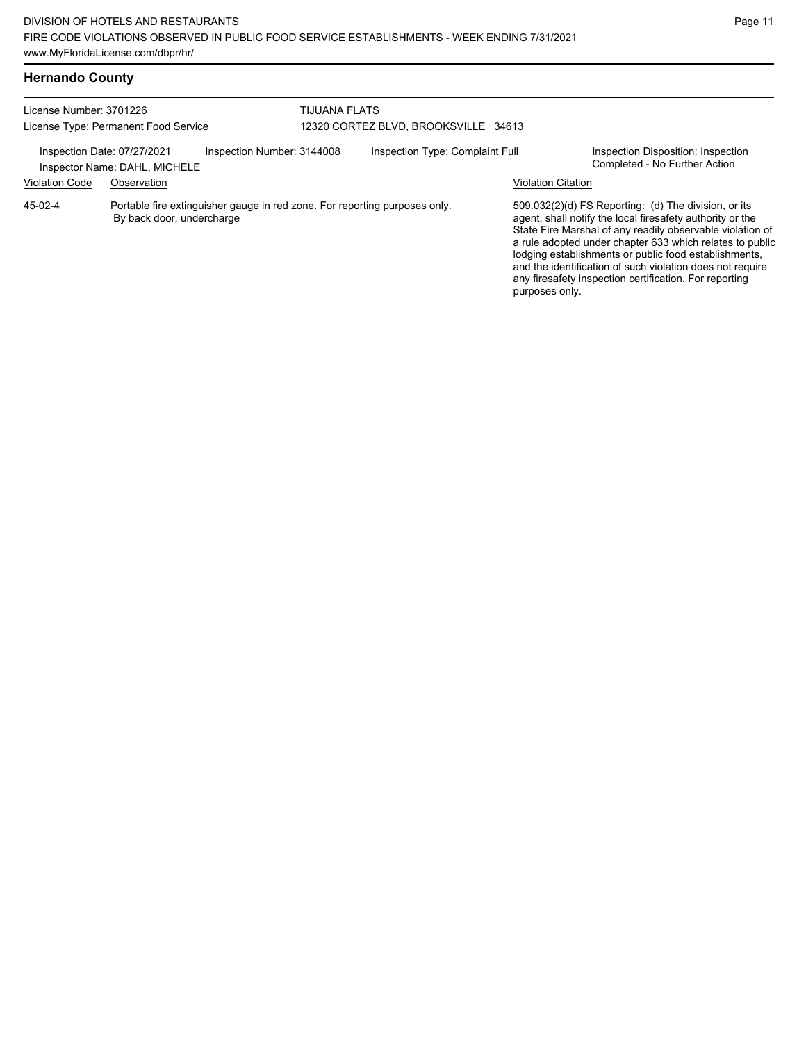# **Hernando County**

| License Number: 3701226<br>License Type: Permanent Food Service |                                                                                                         | <b>TIJUANA FLATS</b><br>12320 CORTEZ BLVD, BROOKSVILLE 34613 |                           |                                                                                                                                                                                                                                                                                                                                                                                                                            |
|-----------------------------------------------------------------|---------------------------------------------------------------------------------------------------------|--------------------------------------------------------------|---------------------------|----------------------------------------------------------------------------------------------------------------------------------------------------------------------------------------------------------------------------------------------------------------------------------------------------------------------------------------------------------------------------------------------------------------------------|
| Inspection Date: 07/27/2021<br><b>Violation Code</b>            | Inspection Number: 3144008<br>Inspector Name: DAHL, MICHELE<br>Observation                              | Inspection Type: Complaint Full                              | <b>Violation Citation</b> | Inspection Disposition: Inspection<br>Completed - No Further Action                                                                                                                                                                                                                                                                                                                                                        |
| $45-02-4$                                                       | Portable fire extinguisher gauge in red zone. For reporting purposes only.<br>By back door, undercharge |                                                              | purposes only.            | 509.032(2)(d) FS Reporting: (d) The division, or its<br>agent, shall notify the local firesafety authority or the<br>State Fire Marshal of any readily observable violation of<br>a rule adopted under chapter 633 which relates to public<br>lodging establishments or public food establishments,<br>and the identification of such violation does not require<br>any firesafety inspection certification. For reporting |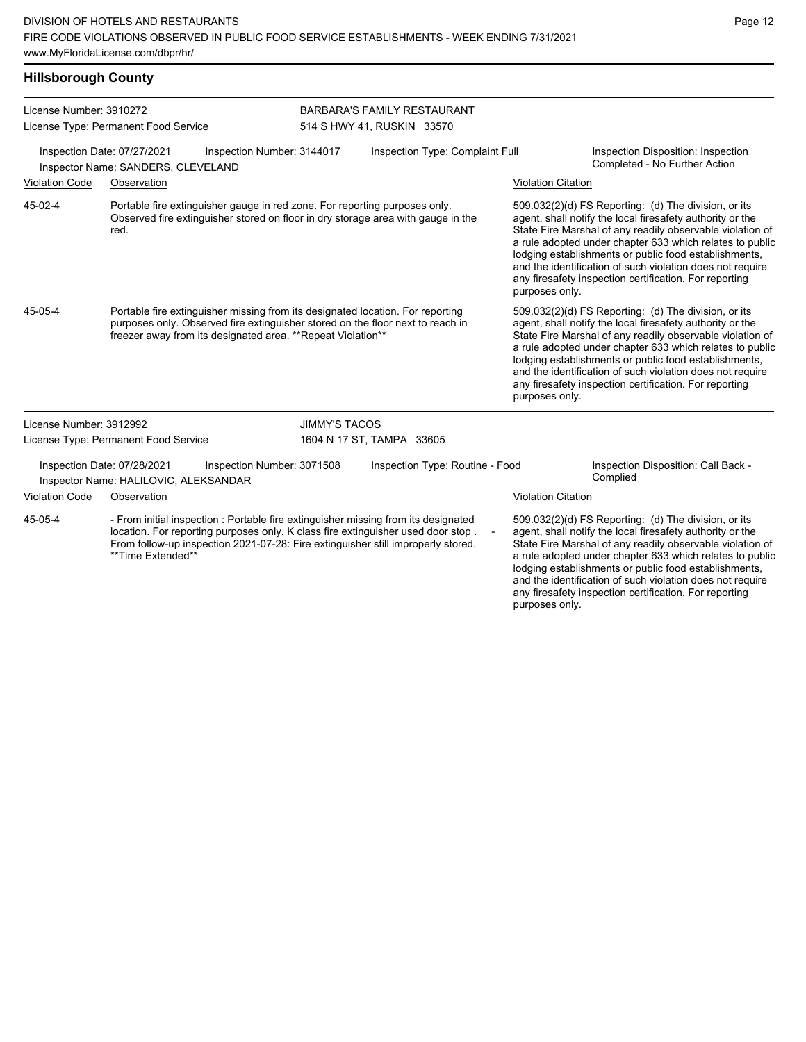| <b>Hillsborough County</b>                                                                      |                                                                                                                                                                                                                                                                                 |                            |                                    |                           |                                                                                                                                                                                                                                                                                                                                                                                                                            |
|-------------------------------------------------------------------------------------------------|---------------------------------------------------------------------------------------------------------------------------------------------------------------------------------------------------------------------------------------------------------------------------------|----------------------------|------------------------------------|---------------------------|----------------------------------------------------------------------------------------------------------------------------------------------------------------------------------------------------------------------------------------------------------------------------------------------------------------------------------------------------------------------------------------------------------------------------|
| License Number: 3910272                                                                         |                                                                                                                                                                                                                                                                                 |                            | <b>BARBARA'S FAMILY RESTAURANT</b> |                           |                                                                                                                                                                                                                                                                                                                                                                                                                            |
|                                                                                                 | License Type: Permanent Food Service                                                                                                                                                                                                                                            |                            | 514 S HWY 41, RUSKIN 33570         |                           |                                                                                                                                                                                                                                                                                                                                                                                                                            |
| Inspection Date: 07/27/2021<br>Inspection Number: 3144017<br>Inspector Name: SANDERS, CLEVELAND |                                                                                                                                                                                                                                                                                 |                            | Inspection Type: Complaint Full    |                           | Inspection Disposition: Inspection<br>Completed - No Further Action                                                                                                                                                                                                                                                                                                                                                        |
| <b>Violation Code</b>                                                                           | Observation                                                                                                                                                                                                                                                                     |                            |                                    | <b>Violation Citation</b> |                                                                                                                                                                                                                                                                                                                                                                                                                            |
| 45-02-4                                                                                         | Portable fire extinguisher gauge in red zone. For reporting purposes only.<br>Observed fire extinguisher stored on floor in dry storage area with gauge in the<br>red.                                                                                                          |                            |                                    | purposes only.            | 509.032(2)(d) FS Reporting: (d) The division, or its<br>agent, shall notify the local firesafety authority or the<br>State Fire Marshal of any readily observable violation of<br>a rule adopted under chapter 633 which relates to public<br>lodging establishments or public food establishments,<br>and the identification of such violation does not require<br>any firesafety inspection certification. For reporting |
| 45-05-4                                                                                         | Portable fire extinguisher missing from its designated location. For reporting<br>purposes only. Observed fire extinguisher stored on the floor next to reach in<br>freezer away from its designated area. ** Repeat Violation**                                                |                            |                                    | purposes only.            | 509.032(2)(d) FS Reporting: (d) The division, or its<br>agent, shall notify the local firesafety authority or the<br>State Fire Marshal of any readily observable violation of<br>a rule adopted under chapter 633 which relates to public<br>lodging establishments or public food establishments,<br>and the identification of such violation does not require<br>any firesafety inspection certification. For reporting |
| License Number: 3912992                                                                         |                                                                                                                                                                                                                                                                                 | <b>JIMMY'S TACOS</b>       |                                    |                           |                                                                                                                                                                                                                                                                                                                                                                                                                            |
|                                                                                                 | License Type: Permanent Food Service                                                                                                                                                                                                                                            |                            | 1604 N 17 ST, TAMPA 33605          |                           |                                                                                                                                                                                                                                                                                                                                                                                                                            |
|                                                                                                 | Inspection Date: 07/28/2021<br>Inspector Name: HALILOVIC, ALEKSANDAR                                                                                                                                                                                                            | Inspection Number: 3071508 | Inspection Type: Routine - Food    |                           | Inspection Disposition: Call Back -<br>Complied                                                                                                                                                                                                                                                                                                                                                                            |
| <b>Violation Code</b>                                                                           | Observation                                                                                                                                                                                                                                                                     |                            |                                    | <b>Violation Citation</b> |                                                                                                                                                                                                                                                                                                                                                                                                                            |
| 45-05-4                                                                                         | - From initial inspection : Portable fire extinguisher missing from its designated<br>location. For reporting purposes only. K class fire extinguisher used door stop.<br>From follow-up inspection 2021-07-28: Fire extinguisher still improperly stored.<br>**Time Extended** |                            | $\overline{\phantom{a}}$           |                           | 509.032(2)(d) FS Reporting: (d) The division, or its<br>agent, shall notify the local firesafety authority or the<br>State Fire Marshal of any readily observable violation of<br>a rule adopted under chapter 633 which relates to public<br>lodging establishments or public food establishments,<br>and the identification of such violation does not require<br>any firesafety inspection certification. For reporting |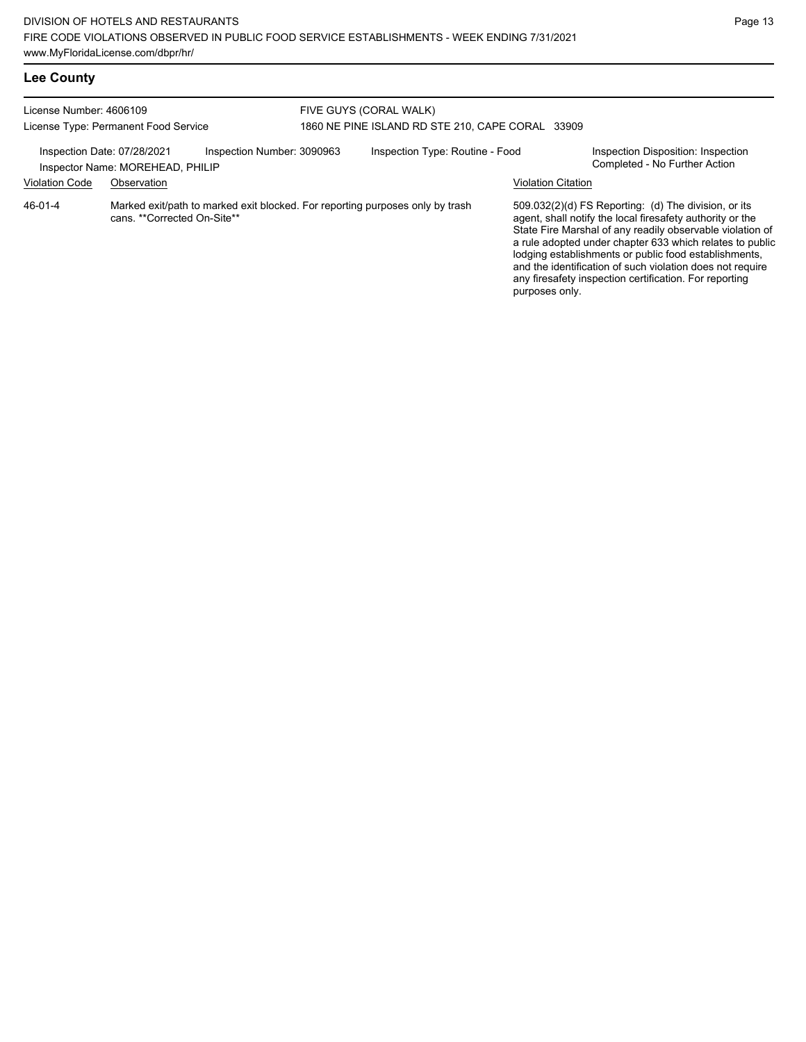| License Number: 4606109<br>License Type: Permanent Food Service |                                                                                                              | FIVE GUYS (CORAL WALK)<br>1860 NE PINE ISLAND RD STE 210, CAPE CORAL 33909 |  |                                 |                           |                                                                                                                                                                                                                                                                                                                                                                                                                            |
|-----------------------------------------------------------------|--------------------------------------------------------------------------------------------------------------|----------------------------------------------------------------------------|--|---------------------------------|---------------------------|----------------------------------------------------------------------------------------------------------------------------------------------------------------------------------------------------------------------------------------------------------------------------------------------------------------------------------------------------------------------------------------------------------------------------|
| Inspection Date: 07/28/2021                                     | Inspector Name: MOREHEAD, PHILIP                                                                             | Inspection Number: 3090963                                                 |  | Inspection Type: Routine - Food |                           | Inspection Disposition: Inspection<br>Completed - No Further Action                                                                                                                                                                                                                                                                                                                                                        |
| <b>Violation Code</b>                                           | Observation                                                                                                  |                                                                            |  |                                 | <b>Violation Citation</b> |                                                                                                                                                                                                                                                                                                                                                                                                                            |
| $46 - 01 - 4$                                                   | Marked exit/path to marked exit blocked. For reporting purposes only by trash<br>cans. **Corrected On-Site** |                                                                            |  |                                 | purposes only.            | 509.032(2)(d) FS Reporting: (d) The division, or its<br>agent, shall notify the local firesafety authority or the<br>State Fire Marshal of any readily observable violation of<br>a rule adopted under chapter 633 which relates to public<br>lodging establishments or public food establishments,<br>and the identification of such violation does not require<br>any firesafety inspection certification. For reporting |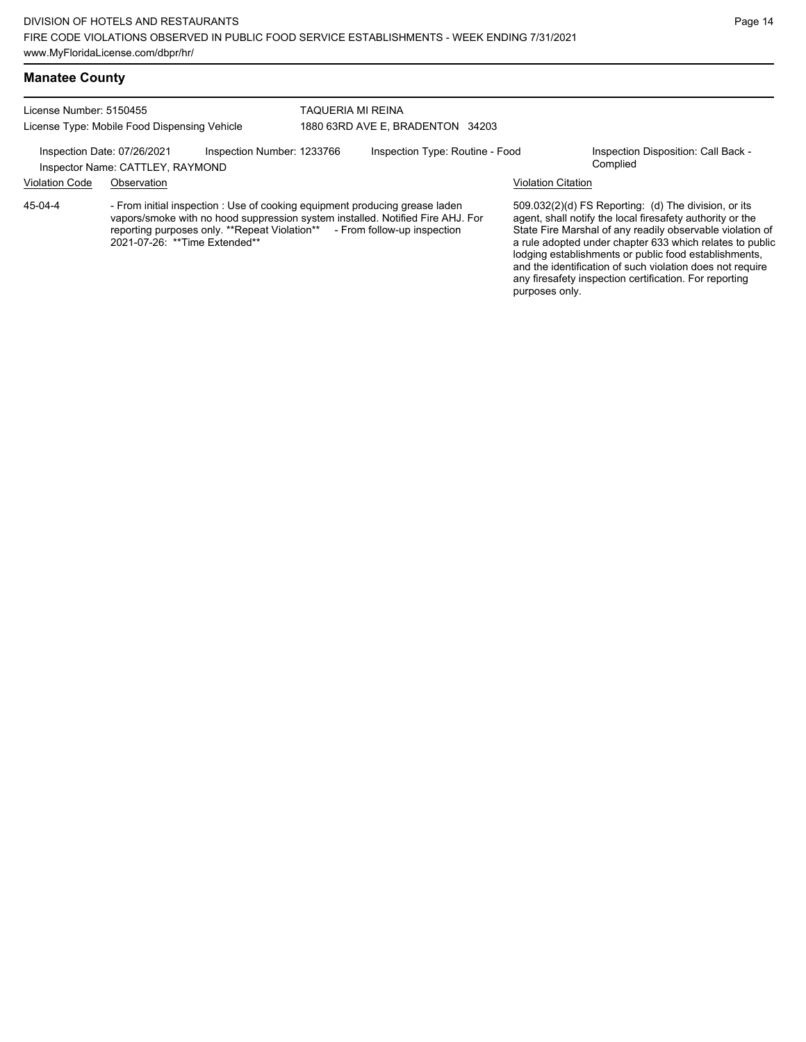#### **Manatee County**

45-04-4

License Number: 5150455 License Type: Mobile Food Dispensing Vehicle TAQUERIA MI REINA 1880 63RD AVE E, BRADENTON 34203

Inspection Date: 07/26/2021 Inspection Number: 1233766 Inspection Type: Routine - Food Inspection Disposition: Call Back -

Inspector Name: CATTLEY, RAYMOND

### Violation Code Observation Violation Citation

- From initial inspection : Use of cooking equipment producing grease laden vapors/smoke with no hood suppression system installed. Notified Fire AHJ. For reporting purposes only. \*\*Repeat Violation\*\* - From follow-up inspection reporting purposes only. \*\*Repeat Violation\*\* 2021-07-26: \*\*Time Extended\*\*

509.032(2)(d) FS Reporting: (d) The division, or its agent, shall notify the local firesafety authority or the State Fire Marshal of any readily observable violation of a rule adopted under chapter 633 which relates to public lodging establishments or public food establishments, and the identification of such violation does not require any firesafety inspection certification. For reporting purposes only.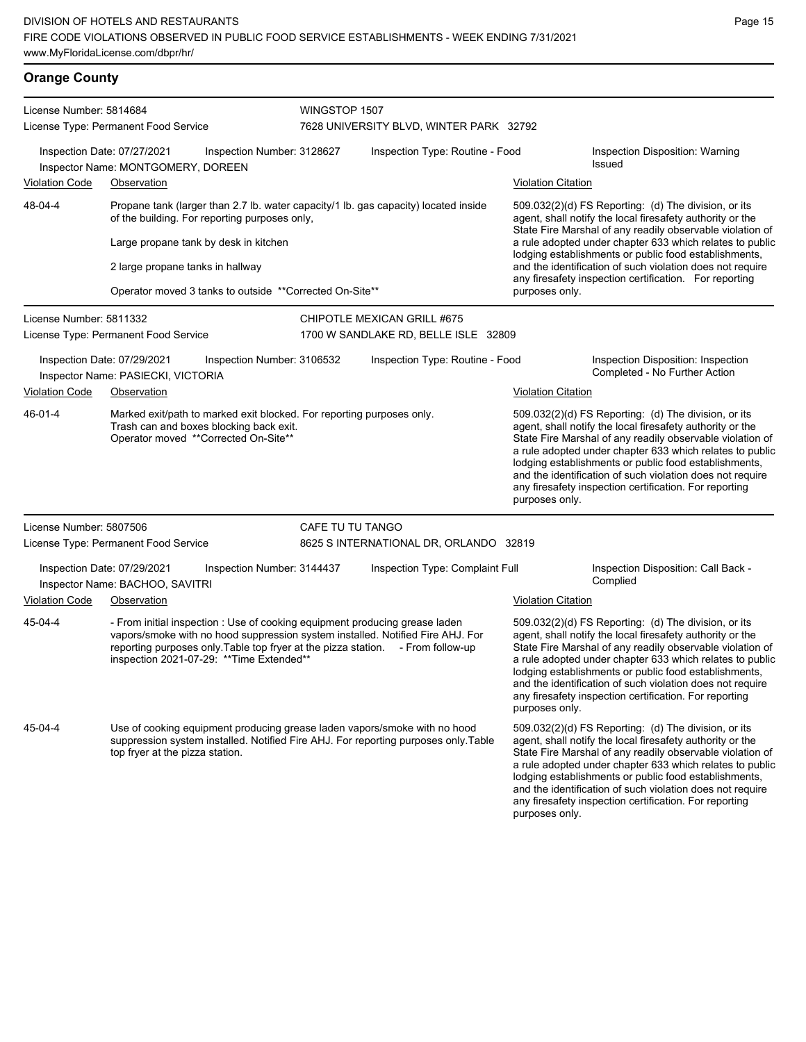#### **Orange County** License Number: 5814684 License Type: Permanent Food Service WINGSTOP 1507 7628 UNIVERSITY BLVD, WINTER PARK 32792 Inspection Date: 07/27/2021 Inspection Number: 3128627 Inspection Type: Routine - Food Inspection Disposition: Warning Issued Inspector Name: MONTGOMERY, DOREEN Violation Code Observation Violation Citation Propane tank (larger than 2.7 lb. water capacity/1 lb. gas capacity) located inside of the building. For reporting purposes only, 48-04-4

Large propane tank by desk in kitchen

2 large propane tanks in hallway

Operator moved 3 tanks to outside \*\*Corrected On-Site\*\*

purposes only. License Number: 5811332 License Type: Permanent Food Service CHIPOTLE MEXICAN GRILL #675 1700 W SANDLAKE RD, BELLE ISLE 32809 Inspection Date: 07/29/2021 Inspection Number: 3106532 Inspection Type: Routine - Food Inspection Disposition: Inspection Inspector Name: PASIECKI, VICTORIA Violation Code Observation **Violation Citation** Violation Citation Citation Marked exit/path to marked exit blocked. For reporting purposes only. Trash can and boxes blocking back exit. Operator moved \*\*Corrected On-Site\*\* 509.032(2)(d) FS Reporting: (d) The division, or its agent, shall notify the local firesafety authority or the State Fire Marshal of any readily observable violation of a rule adopted under chapter 633 which relates to public lodging establishments or public food establishments, and the identification of such violation does not require any firesafety inspection certification. For reporting purposes only. 46-01-4 License Number: 5807506 License Type: Permanent Food Service CAFE TU TU TANGO 8625 S INTERNATIONAL DR, ORLANDO 32819 Inspection Date: 07/29/2021 Inspection Number: 3144437 Inspection Type: Complaint Full Inspection Disposition: Call Back -<br>Inspector Name: BACHOO SAVITRI Inspector Name: BACHOO, SAVITRI Violation Code Observation Violation Citation - From initial inspection : Use of cooking equipment producing grease laden vapors/smoke with no hood suppression system installed. Notified Fire AHJ. For reporting purposes only. Table top fryer at the pizza station. - From follow-up inspection 2021-07-29: \*\*Time Extended\*\* 509.032(2)(d) FS Reporting: (d) The division, or its agent, shall notify the local firesafety authority or the State Fire Marshal of any readily observable violation of a rule adopted under chapter 633 which relates to public lodging establishments or public food establishments, and the identification of such violation does not require any firesafety inspection certification. For reporting purposes only. 45-04-4 Use of cooking equipment producing grease laden vapors/smoke with no hood suppression system installed. Notified Fire AHJ. For reporting purposes only.Table top fryer at the pizza station. 509.032(2)(d) FS Reporting: (d) The division, or its agent, shall notify the local firesafety authority or the State Fire Marshal of any readily observable violation of a rule adopted under chapter 633 which relates to public lodging establishments or public food establishments, and the identification of such violation does not require 45-04-4

509.032(2)(d) FS Reporting: (d) The division, or its agent, shall notify the local firesafety authority or the State Fire Marshal of any readily observable violation of a rule adopted under chapter 633 which relates to public lodging establishments or public food establishments, and the identification of such violation does not require any firesafety inspection certification. For reporting

any firesafety inspection certification. For reporting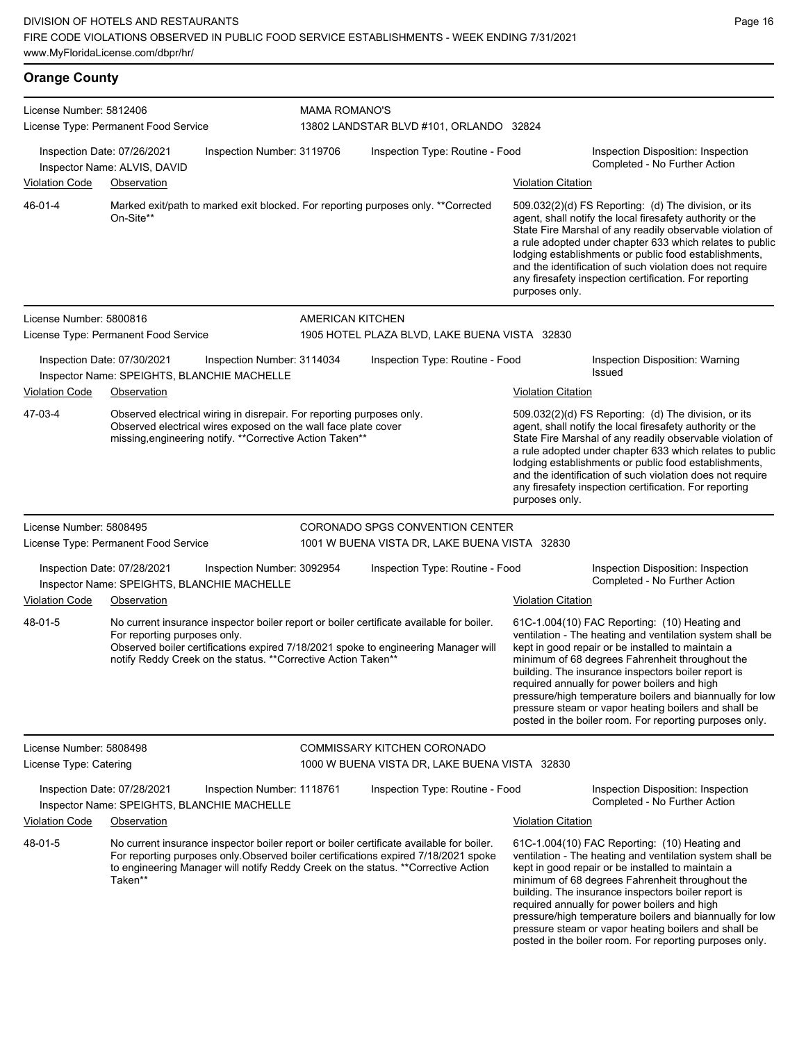**Orange County**

| License Number: 5812406                           |                                                                            |                                                                                                                                                                                                      | <b>MAMA ROMANO'S</b>                                                                                                                                                                                                                                                  |                           |                                                                                                                                                                                                                                                                                                                                                                                                                                                                                                          |  |  |
|---------------------------------------------------|----------------------------------------------------------------------------|------------------------------------------------------------------------------------------------------------------------------------------------------------------------------------------------------|-----------------------------------------------------------------------------------------------------------------------------------------------------------------------------------------------------------------------------------------------------------------------|---------------------------|----------------------------------------------------------------------------------------------------------------------------------------------------------------------------------------------------------------------------------------------------------------------------------------------------------------------------------------------------------------------------------------------------------------------------------------------------------------------------------------------------------|--|--|
|                                                   | License Type: Permanent Food Service                                       |                                                                                                                                                                                                      | 13802 LANDSTAR BLVD #101, ORLANDO 32824                                                                                                                                                                                                                               |                           |                                                                                                                                                                                                                                                                                                                                                                                                                                                                                                          |  |  |
|                                                   | Inspection Date: 07/26/2021<br>Inspector Name: ALVIS, DAVID                | Inspection Number: 3119706                                                                                                                                                                           | Inspection Type: Routine - Food                                                                                                                                                                                                                                       |                           | Inspection Disposition: Inspection<br>Completed - No Further Action                                                                                                                                                                                                                                                                                                                                                                                                                                      |  |  |
| <b>Violation Code</b>                             | Observation                                                                |                                                                                                                                                                                                      |                                                                                                                                                                                                                                                                       | <b>Violation Citation</b> |                                                                                                                                                                                                                                                                                                                                                                                                                                                                                                          |  |  |
| 46-01-4                                           | On-Site**                                                                  |                                                                                                                                                                                                      | Marked exit/path to marked exit blocked. For reporting purposes only. ** Corrected                                                                                                                                                                                    | purposes only.            | 509.032(2)(d) FS Reporting: (d) The division, or its<br>agent, shall notify the local firesafety authority or the<br>State Fire Marshal of any readily observable violation of<br>a rule adopted under chapter 633 which relates to public<br>lodging establishments or public food establishments,<br>and the identification of such violation does not require<br>any firesafety inspection certification. For reporting                                                                               |  |  |
| License Number: 5800816                           |                                                                            |                                                                                                                                                                                                      | AMERICAN KITCHEN                                                                                                                                                                                                                                                      |                           |                                                                                                                                                                                                                                                                                                                                                                                                                                                                                                          |  |  |
|                                                   | License Type: Permanent Food Service                                       |                                                                                                                                                                                                      | 1905 HOTEL PLAZA BLVD, LAKE BUENA VISTA 32830                                                                                                                                                                                                                         |                           |                                                                                                                                                                                                                                                                                                                                                                                                                                                                                                          |  |  |
|                                                   | Inspection Date: 07/30/2021<br>Inspector Name: SPEIGHTS, BLANCHIE MACHELLE | Inspection Number: 3114034                                                                                                                                                                           | Inspection Type: Routine - Food                                                                                                                                                                                                                                       |                           | Inspection Disposition: Warning<br>Issued                                                                                                                                                                                                                                                                                                                                                                                                                                                                |  |  |
| <b>Violation Code</b>                             | Observation                                                                |                                                                                                                                                                                                      |                                                                                                                                                                                                                                                                       | <b>Violation Citation</b> |                                                                                                                                                                                                                                                                                                                                                                                                                                                                                                          |  |  |
| 47-03-4                                           |                                                                            | Observed electrical wiring in disrepair. For reporting purposes only.<br>Observed electrical wires exposed on the wall face plate cover<br>missing, engineering notify. ** Corrective Action Taken** |                                                                                                                                                                                                                                                                       | purposes only.            | 509.032(2)(d) FS Reporting: (d) The division, or its<br>agent, shall notify the local firesafety authority or the<br>State Fire Marshal of any readily observable violation of<br>a rule adopted under chapter 633 which relates to public<br>lodging establishments or public food establishments,<br>and the identification of such violation does not require<br>any firesafety inspection certification. For reporting                                                                               |  |  |
| License Number: 5808495                           |                                                                            |                                                                                                                                                                                                      | CORONADO SPGS CONVENTION CENTER                                                                                                                                                                                                                                       |                           |                                                                                                                                                                                                                                                                                                                                                                                                                                                                                                          |  |  |
|                                                   | License Type: Permanent Food Service                                       |                                                                                                                                                                                                      | 1001 W BUENA VISTA DR, LAKE BUENA VISTA 32830                                                                                                                                                                                                                         |                           |                                                                                                                                                                                                                                                                                                                                                                                                                                                                                                          |  |  |
|                                                   | Inspection Date: 07/28/2021<br>Inspector Name: SPEIGHTS, BLANCHIE MACHELLE | Inspection Number: 3092954                                                                                                                                                                           | Inspection Type: Routine - Food                                                                                                                                                                                                                                       |                           | Inspection Disposition: Inspection<br>Completed - No Further Action                                                                                                                                                                                                                                                                                                                                                                                                                                      |  |  |
| <b>Violation Code</b>                             | Observation                                                                |                                                                                                                                                                                                      |                                                                                                                                                                                                                                                                       | <b>Violation Citation</b> |                                                                                                                                                                                                                                                                                                                                                                                                                                                                                                          |  |  |
| 48-01-5                                           | For reporting purposes only.                                               | notify Reddy Creek on the status. ** Corrective Action Taken**                                                                                                                                       | No current insurance inspector boiler report or boiler certificate available for boiler.<br>Observed boiler certifications expired 7/18/2021 spoke to engineering Manager will                                                                                        |                           | 61C-1.004(10) FAC Reporting: (10) Heating and<br>ventilation - The heating and ventilation system shall be<br>kept in good repair or be installed to maintain a<br>minimum of 68 degrees Fahrenheit throughout the<br>building. The insurance inspectors boiler report is<br>required annually for power boilers and high<br>pressure/high temperature boilers and biannually for low<br>pressure steam or vapor heating boilers and shall be<br>posted in the boiler room. For reporting purposes only. |  |  |
| License Number: 5808498<br>License Type: Catering |                                                                            |                                                                                                                                                                                                      | <b>COMMISSARY KITCHEN CORONADO</b><br>1000 W BUENA VISTA DR, LAKE BUENA VISTA 32830                                                                                                                                                                                   |                           |                                                                                                                                                                                                                                                                                                                                                                                                                                                                                                          |  |  |
|                                                   | Inspection Date: 07/28/2021<br>Inspector Name: SPEIGHTS, BLANCHIE MACHELLE | Inspection Number: 1118761                                                                                                                                                                           | Inspection Type: Routine - Food                                                                                                                                                                                                                                       |                           | Inspection Disposition: Inspection<br>Completed - No Further Action                                                                                                                                                                                                                                                                                                                                                                                                                                      |  |  |
| <b>Violation Code</b>                             | Observation                                                                |                                                                                                                                                                                                      |                                                                                                                                                                                                                                                                       | <b>Violation Citation</b> |                                                                                                                                                                                                                                                                                                                                                                                                                                                                                                          |  |  |
| 48-01-5                                           | Taken**                                                                    |                                                                                                                                                                                                      | No current insurance inspector boiler report or boiler certificate available for boiler.<br>For reporting purposes only. Observed boiler certifications expired 7/18/2021 spoke<br>to engineering Manager will notify Reddy Creek on the status. ** Corrective Action |                           | 61C-1.004(10) FAC Reporting: (10) Heating and<br>ventilation - The heating and ventilation system shall be<br>kept in good repair or be installed to maintain a<br>minimum of 68 degrees Fahrenheit throughout the<br>building. The insurance inspectors boiler report is<br>required annually for power boilers and high<br>pressure/high temperature boilers and biannually for low<br>pressure steam or vapor heating boilers and shall be<br>posted in the boiler room. For reporting purposes only. |  |  |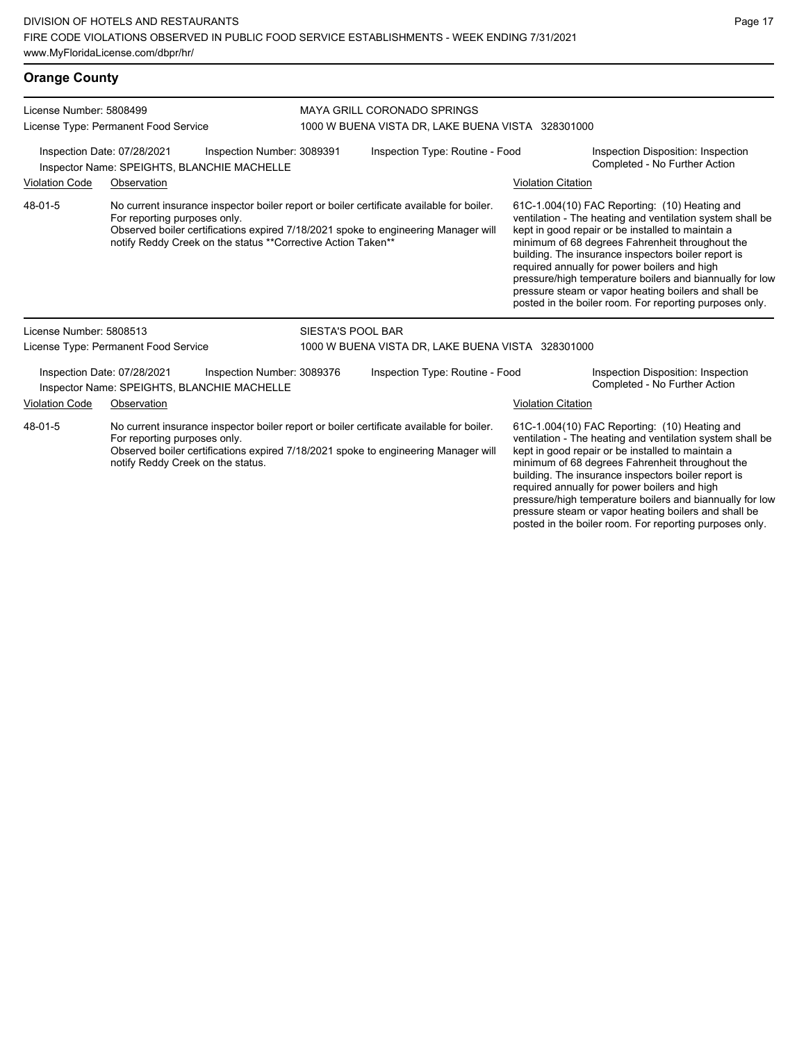#### **Orange County** License Number: 5808499 License Type: Permanent Food Service MAYA GRILL CORONADO SPRINGS 1000 W BUENA VISTA DR, LAKE BUENA VISTA 328301000 Inspection Date: 07/28/2021 Inspection Number: 3089391 Inspection Type: Routine - Food Inspection Disposition: Inspection Inspector Name: SPEIGHTS, BLANCHIE MACHELLE **Action** Inspector Name: SPEIGHTS, BLANCHIELLE Violation Code Observation Violation Citation No current insurance inspector boiler report or boiler certificate available for boiler. For reporting purposes only. Observed boiler certifications expired 7/18/2021 spoke to engineering Manager will notify Reddy Creek on the status \*\*Corrective Action Taken\*\* 61C-1.004(10) FAC Reporting: (10) Heating and ventilation - The heating and ventilation system shall be kept in good repair or be installed to maintain a minimum of 68 degrees Fahrenheit throughout the building. The insurance inspectors boiler report is required annually for power boilers and high pressure/high temperature boilers and biannually for low pressure steam or vapor heating boilers and shall be posted in the boiler room. For reporting purposes only. 48-01-5 License Number: 5808513 License Type: Permanent Food Service SIESTA'S POOL BAR 1000 W BUENA VISTA DR, LAKE BUENA VISTA 328301000 Inspection Date: 07/28/2021 Inspection Number: 3089376 Inspection Type: Routine - Food Inspection Disposition: Inspection Inspector Name: SPEIGHTS, BLANCHIE MACHELLE Violation Code Observation Violation Citation No current insurance inspector boiler report or boiler certificate available for boiler. For reporting purposes only. Observed boiler certifications expired 7/18/2021 spoke to engineering Manager will notify Reddy Creek on the status. 61C-1.004(10) FAC Reporting: (10) Heating and ventilation - The heating and ventilation system shall be kept in good repair or be installed to maintain a minimum of 68 degrees Fahrenheit throughout the building. The insurance inspectors boiler report is required annually for power boilers and high 48-01-5

pressure/high temperature boilers and biannually for low pressure steam or vapor heating boilers and shall be posted in the boiler room. For reporting purposes only.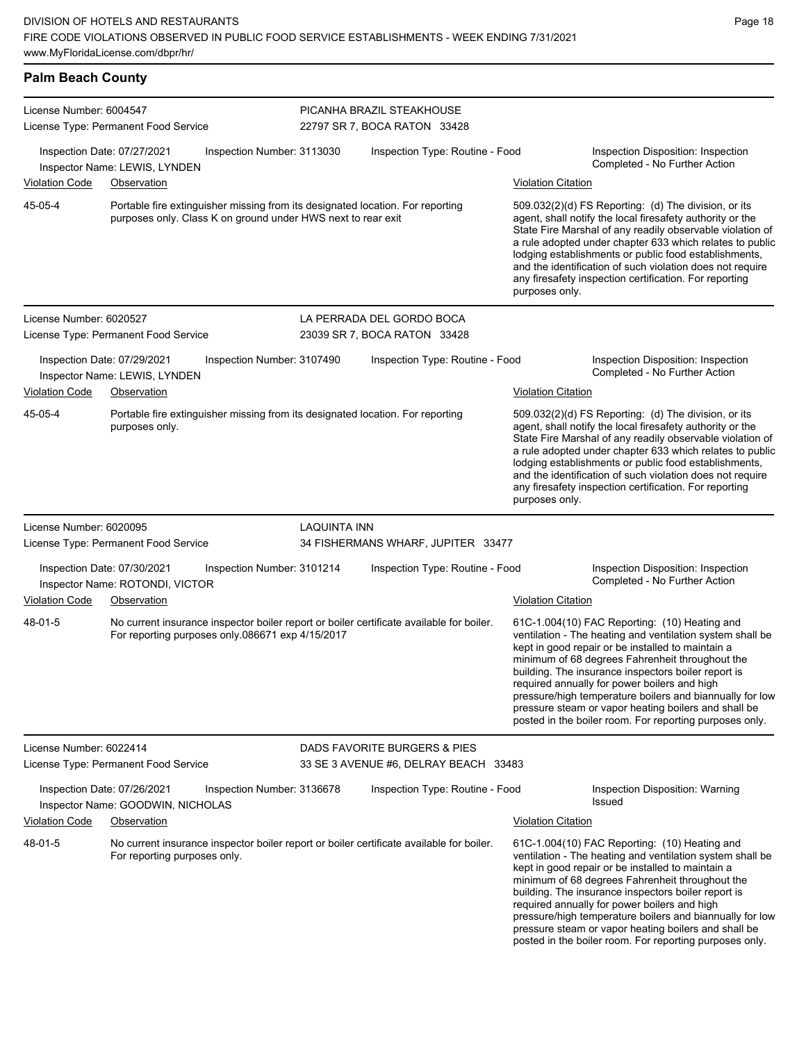| <b>Palm Beach County</b>                                                                                              |                                                                                 |                            |                     |                                                                                          |                           |                                                                                                                                                                                                                                                                                                                                                                                                                                                                                                          |
|-----------------------------------------------------------------------------------------------------------------------|---------------------------------------------------------------------------------|----------------------------|---------------------|------------------------------------------------------------------------------------------|---------------------------|----------------------------------------------------------------------------------------------------------------------------------------------------------------------------------------------------------------------------------------------------------------------------------------------------------------------------------------------------------------------------------------------------------------------------------------------------------------------------------------------------------|
| License Number: 6004547<br>License Type: Permanent Food Service                                                       |                                                                                 |                            |                     | PICANHA BRAZIL STEAKHOUSE<br>22797 SR 7, BOCA RATON 33428                                |                           |                                                                                                                                                                                                                                                                                                                                                                                                                                                                                                          |
| Violation Code                                                                                                        | Inspection Date: 07/27/2021<br>Inspector Name: LEWIS, LYNDEN<br>Observation     | Inspection Number: 3113030 |                     | Inspection Type: Routine - Food                                                          | <b>Violation Citation</b> | Inspection Disposition: Inspection<br>Completed - No Further Action                                                                                                                                                                                                                                                                                                                                                                                                                                      |
| 45-05-4                                                                                                               | purposes only. Class K on ground under HWS next to rear exit                    |                            |                     | Portable fire extinguisher missing from its designated location. For reporting           | purposes only.            | 509.032(2)(d) FS Reporting: (d) The division, or its<br>agent, shall notify the local firesafety authority or the<br>State Fire Marshal of any readily observable violation of<br>a rule adopted under chapter 633 which relates to public<br>lodging establishments or public food establishments,<br>and the identification of such violation does not require<br>any firesafety inspection certification. For reporting                                                                               |
| License Number: 6020527                                                                                               | License Type: Permanent Food Service                                            |                            |                     | LA PERRADA DEL GORDO BOCA<br>23039 SR 7, BOCA RATON 33428                                |                           |                                                                                                                                                                                                                                                                                                                                                                                                                                                                                                          |
| <b>Violation Code</b>                                                                                                 | Inspection Date: 07/29/2021<br>Inspector Name: LEWIS, LYNDEN<br>Observation     | Inspection Number: 3107490 |                     | Inspection Type: Routine - Food                                                          | <b>Violation Citation</b> | Inspection Disposition: Inspection<br>Completed - No Further Action                                                                                                                                                                                                                                                                                                                                                                                                                                      |
| 45-05-4                                                                                                               | purposes only.                                                                  |                            |                     | Portable fire extinguisher missing from its designated location. For reporting           | purposes only.            | 509.032(2)(d) FS Reporting: (d) The division, or its<br>agent, shall notify the local firesafety authority or the<br>State Fire Marshal of any readily observable violation of<br>a rule adopted under chapter 633 which relates to public<br>lodging establishments or public food establishments,<br>and the identification of such violation does not require<br>any firesafety inspection certification. For reporting                                                                               |
| License Number: 6020095                                                                                               | License Type: Permanent Food Service                                            |                            | <b>LAQUINTA INN</b> | 34 FISHERMANS WHARF, JUPITER 33477                                                       |                           |                                                                                                                                                                                                                                                                                                                                                                                                                                                                                                          |
| Inspection Date: 07/30/2021<br>Inspection Number: 3101214<br>Inspector Name: ROTONDI, VICTOR<br><b>Violation Code</b> |                                                                                 |                            |                     | Inspection Type: Routine - Food                                                          | <b>Violation Citation</b> | Inspection Disposition: Inspection<br>Completed - No Further Action                                                                                                                                                                                                                                                                                                                                                                                                                                      |
| 48-01-5                                                                                                               | Observation<br>For reporting purposes only 086671 exp 4/15/2017                 |                            |                     | No current insurance inspector boiler report or boiler certificate available for boiler. |                           | 61C-1.004(10) FAC Reporting: (10) Heating and<br>ventilation - The heating and ventilation system shall be<br>kept in good repair or be installed to maintain a<br>minimum of 68 degrees Fahrenheit throughout the<br>building. The insurance inspectors boiler report is<br>required annually for power boilers and high<br>pressure/high temperature boilers and biannually for low<br>pressure steam or vapor heating boilers and shall be<br>posted in the boiler room. For reporting purposes only. |
| License Number: 6022414                                                                                               | License Type: Permanent Food Service                                            |                            |                     | DADS FAVORITE BURGERS & PIES<br>33 SE 3 AVENUE #6, DELRAY BEACH 33483                    |                           |                                                                                                                                                                                                                                                                                                                                                                                                                                                                                                          |
| Violation Code                                                                                                        | Inspection Date: 07/26/2021<br>Inspector Name: GOODWIN, NICHOLAS<br>Observation | Inspection Number: 3136678 |                     | Inspection Type: Routine - Food                                                          | <b>Violation Citation</b> | Inspection Disposition: Warning<br><b>Issued</b>                                                                                                                                                                                                                                                                                                                                                                                                                                                         |
| 48-01-5                                                                                                               | For reporting purposes only.                                                    |                            |                     | No current insurance inspector boiler report or boiler certificate available for boiler. |                           | 61C-1.004(10) FAC Reporting: (10) Heating and<br>ventilation - The heating and ventilation system shall be<br>kept in good repair or be installed to maintain a<br>minimum of 68 degrees Fahrenheit throughout the<br>building. The insurance inspectors boiler report is<br>required annually for power boilers and high<br>pressure/high temperature boilers and biannually for low<br>pressure steam or vapor heating boilers and shall be<br>posted in the boiler room. For reporting purposes only. |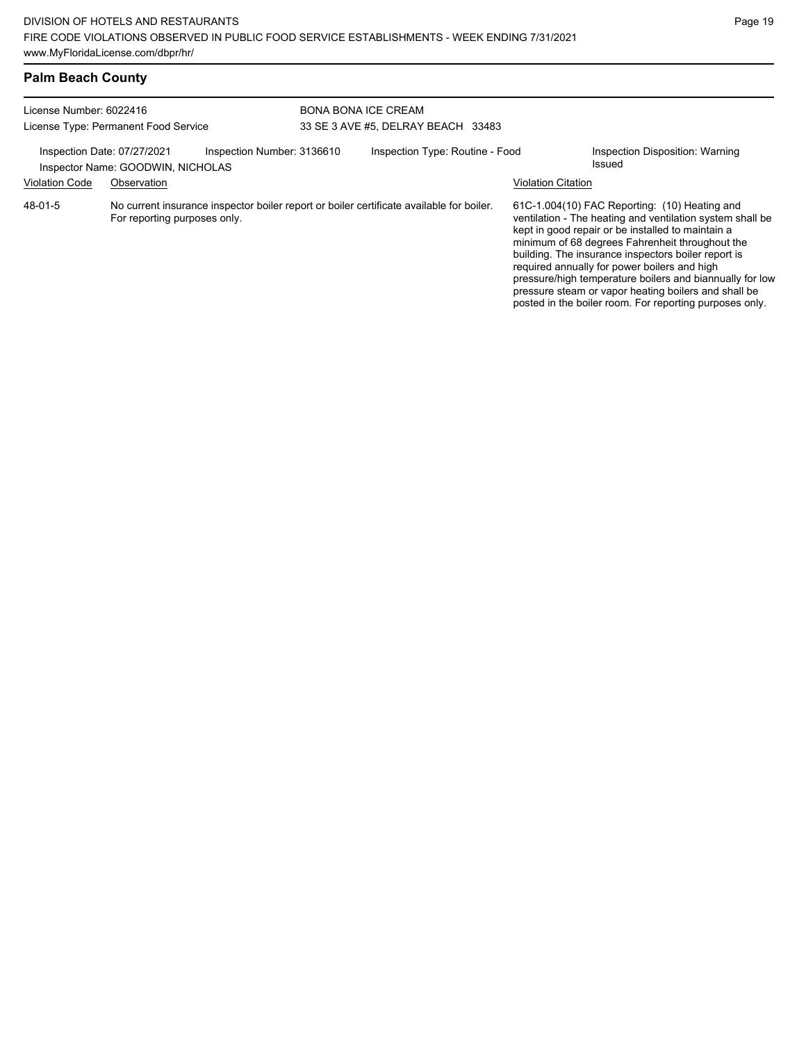## **Palm Beach County**

| License Number: 6022416<br>License Type: Permanent Food Service<br>Inspection Date: 07/27/2021<br>Inspection Number: 3136610<br>Inspector Name: GOODWIN, NICHOLAS |             |  | <b>BONA BONA ICE CREAM</b><br>33 SE 3 AVE #5, DELRAY BEACH 33483 |                                 |                           |                                                                                                                                                                                                                                                                                                                                                                                                                                                                                                          |  |
|-------------------------------------------------------------------------------------------------------------------------------------------------------------------|-------------|--|------------------------------------------------------------------|---------------------------------|---------------------------|----------------------------------------------------------------------------------------------------------------------------------------------------------------------------------------------------------------------------------------------------------------------------------------------------------------------------------------------------------------------------------------------------------------------------------------------------------------------------------------------------------|--|
|                                                                                                                                                                   |             |  |                                                                  | Inspection Type: Routine - Food |                           | Inspection Disposition: Warning<br>Issued                                                                                                                                                                                                                                                                                                                                                                                                                                                                |  |
| <b>Violation Code</b>                                                                                                                                             | Observation |  |                                                                  |                                 | <b>Violation Citation</b> |                                                                                                                                                                                                                                                                                                                                                                                                                                                                                                          |  |
| 48-01-5<br>No current insurance inspector boiler report or boiler certificate available for boiler.<br>For reporting purposes only.                               |             |  |                                                                  |                                 |                           | 61C-1.004(10) FAC Reporting: (10) Heating and<br>ventilation - The heating and ventilation system shall be<br>kept in good repair or be installed to maintain a<br>minimum of 68 degrees Fahrenheit throughout the<br>building. The insurance inspectors boiler report is<br>required annually for power boilers and high<br>pressure/high temperature boilers and biannually for low<br>pressure steam or vapor heating boilers and shall be<br>posted in the boiler room. For reporting purposes only. |  |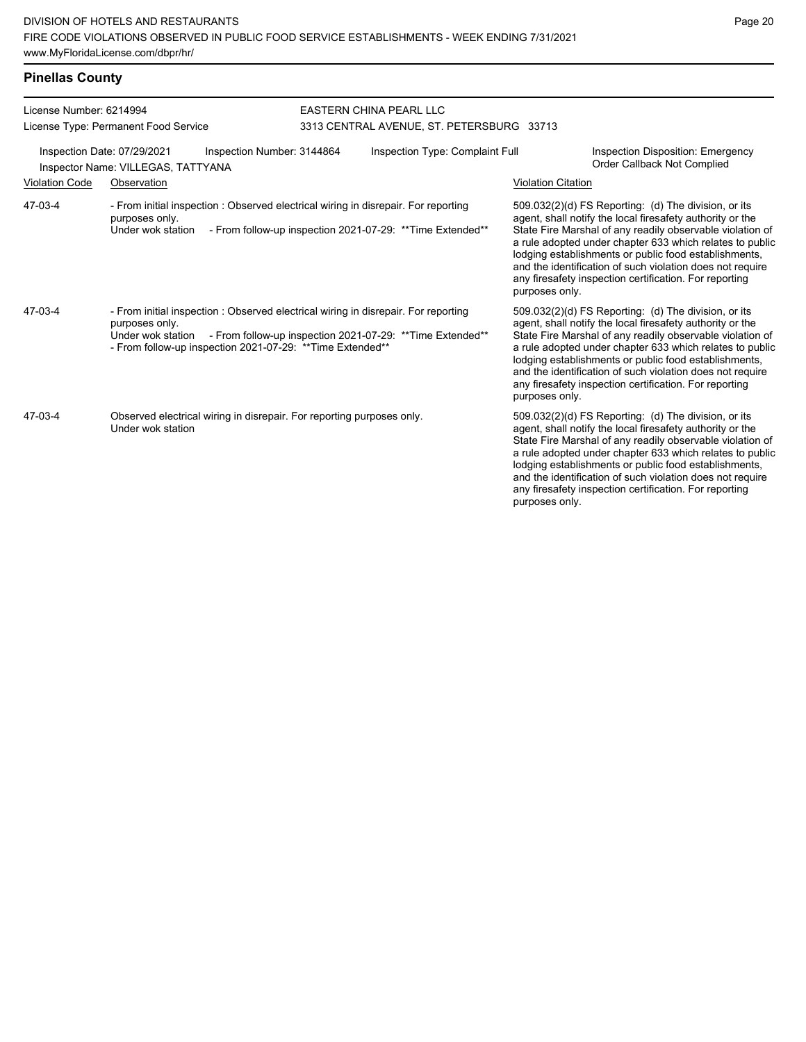| License Number: 6214994 |                                                                                                                                                                                         | <b>EASTERN CHINA PEARL LLC</b><br>3313 CENTRAL AVENUE, ST. PETERSBURG 33713 |                           |                                                                                                                                                                                                                                                                                                                                                                                                                            |  |  |
|-------------------------|-----------------------------------------------------------------------------------------------------------------------------------------------------------------------------------------|-----------------------------------------------------------------------------|---------------------------|----------------------------------------------------------------------------------------------------------------------------------------------------------------------------------------------------------------------------------------------------------------------------------------------------------------------------------------------------------------------------------------------------------------------------|--|--|
|                         | License Type: Permanent Food Service                                                                                                                                                    |                                                                             |                           |                                                                                                                                                                                                                                                                                                                                                                                                                            |  |  |
|                         | Inspection Date: 07/29/2021<br>Inspection Number: 3144864<br>Inspector Name: VILLEGAS, TATTYANA                                                                                         | Inspection Type: Complaint Full                                             |                           | Inspection Disposition: Emergency<br>Order Callback Not Complied                                                                                                                                                                                                                                                                                                                                                           |  |  |
| <b>Violation Code</b>   | Observation                                                                                                                                                                             |                                                                             | <b>Violation Citation</b> |                                                                                                                                                                                                                                                                                                                                                                                                                            |  |  |
| 47-03-4                 | - From initial inspection : Observed electrical wiring in disrepair. For reporting<br>purposes only.<br>Under wok station                                                               | - From follow-up inspection 2021-07-29: ** Time Extended**                  | purposes only.            | 509.032(2)(d) FS Reporting: (d) The division, or its<br>agent, shall notify the local firesafety authority or the<br>State Fire Marshal of any readily observable violation of<br>a rule adopted under chapter 633 which relates to public<br>lodging establishments or public food establishments,<br>and the identification of such violation does not require<br>any firesafety inspection certification. For reporting |  |  |
| 47-03-4                 | - From initial inspection : Observed electrical wiring in disrepair. For reporting<br>purposes only.<br>Under wok station<br>- From follow-up inspection 2021-07-29: ** Time Extended** | - From follow-up inspection 2021-07-29: ** Time Extended**                  | purposes only.            | 509.032(2)(d) FS Reporting: (d) The division, or its<br>agent, shall notify the local firesafety authority or the<br>State Fire Marshal of any readily observable violation of<br>a rule adopted under chapter 633 which relates to public<br>lodging establishments or public food establishments,<br>and the identification of such violation does not require<br>any firesafety inspection certification. For reporting |  |  |
| 47-03-4                 | Observed electrical wiring in disrepair. For reporting purposes only.<br>Under wok station                                                                                              |                                                                             | purposes only.            | 509.032(2)(d) FS Reporting: (d) The division, or its<br>agent, shall notify the local firesafety authority or the<br>State Fire Marshal of any readily observable violation of<br>a rule adopted under chapter 633 which relates to public<br>lodging establishments or public food establishments,<br>and the identification of such violation does not require<br>any firesafety inspection certification. For reporting |  |  |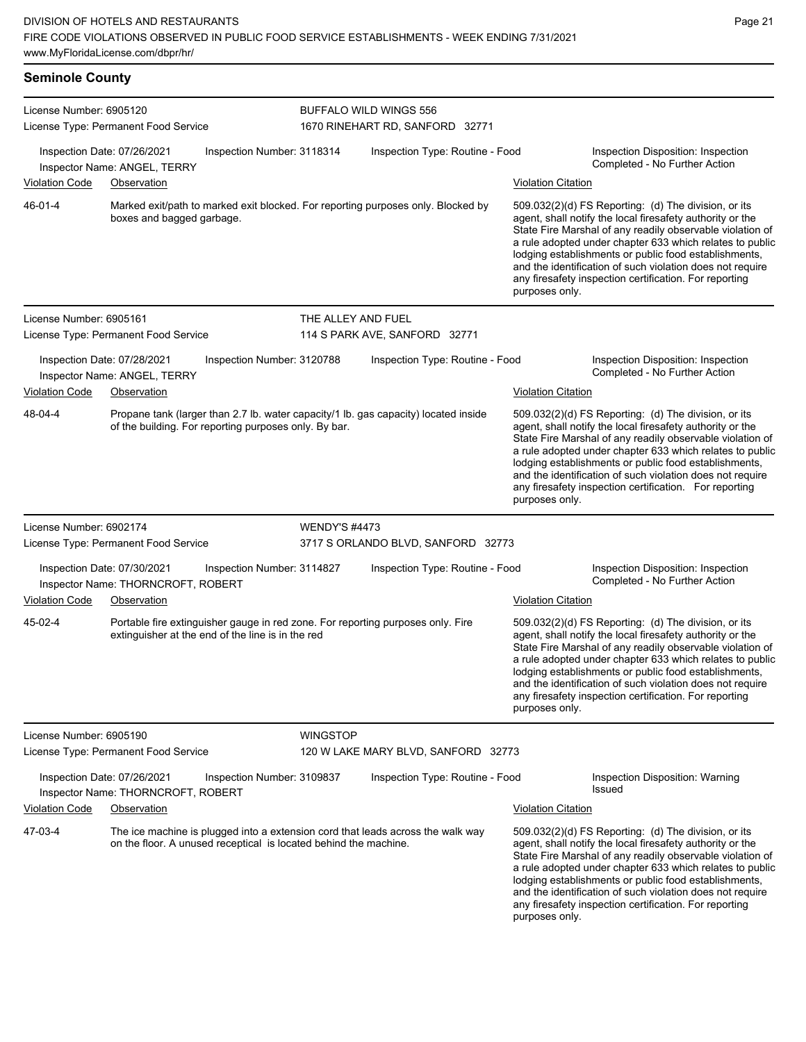### **Seminole County**

| License Number: 6905120<br>License Type: Permanent Food Service                                 |                                      |                                                                  |                                 | BUFFALO WILD WINGS 556<br>1670 RINEHART RD, SANFORD 32771                           |                                                                     |                                                                                                                                                                                                                                                                                                                                                                                                                            |  |
|-------------------------------------------------------------------------------------------------|--------------------------------------|------------------------------------------------------------------|---------------------------------|-------------------------------------------------------------------------------------|---------------------------------------------------------------------|----------------------------------------------------------------------------------------------------------------------------------------------------------------------------------------------------------------------------------------------------------------------------------------------------------------------------------------------------------------------------------------------------------------------------|--|
| Inspection Date: 07/26/2021<br>Inspection Number: 3118314<br>Inspector Name: ANGEL, TERRY       |                                      |                                                                  |                                 | Inspection Type: Routine - Food                                                     |                                                                     | Inspection Disposition: Inspection<br>Completed - No Further Action                                                                                                                                                                                                                                                                                                                                                        |  |
| <b>Violation Code</b>                                                                           | Observation                          |                                                                  |                                 |                                                                                     | <b>Violation Citation</b>                                           |                                                                                                                                                                                                                                                                                                                                                                                                                            |  |
| 46-01-4                                                                                         | boxes and bagged garbage.            |                                                                  |                                 | Marked exit/path to marked exit blocked. For reporting purposes only. Blocked by    | purposes only.                                                      | 509.032(2)(d) FS Reporting: (d) The division, or its<br>agent, shall notify the local firesafety authority or the<br>State Fire Marshal of any readily observable violation of<br>a rule adopted under chapter 633 which relates to public<br>lodging establishments or public food establishments,<br>and the identification of such violation does not require<br>any firesafety inspection certification. For reporting |  |
| License Number: 6905161                                                                         |                                      |                                                                  | THE ALLEY AND FUEL              |                                                                                     |                                                                     |                                                                                                                                                                                                                                                                                                                                                                                                                            |  |
|                                                                                                 | License Type: Permanent Food Service |                                                                  |                                 | 114 S PARK AVE, SANFORD 32771                                                       |                                                                     |                                                                                                                                                                                                                                                                                                                                                                                                                            |  |
| Inspection Date: 07/28/2021                                                                     | Inspector Name: ANGEL, TERRY         | Inspection Number: 3120788                                       |                                 | Inspection Type: Routine - Food                                                     |                                                                     | Inspection Disposition: Inspection<br>Completed - No Further Action                                                                                                                                                                                                                                                                                                                                                        |  |
| <b>Violation Code</b>                                                                           | Observation                          |                                                                  |                                 |                                                                                     | <b>Violation Citation</b>                                           |                                                                                                                                                                                                                                                                                                                                                                                                                            |  |
| 48-04-4                                                                                         |                                      | of the building. For reporting purposes only. By bar.            |                                 | Propane tank (larger than 2.7 lb. water capacity/1 lb. gas capacity) located inside | purposes only.                                                      | 509.032(2)(d) FS Reporting: (d) The division, or its<br>agent, shall notify the local firesafety authority or the<br>State Fire Marshal of any readily observable violation of<br>a rule adopted under chapter 633 which relates to public<br>lodging establishments or public food establishments,<br>and the identification of such violation does not require<br>any firesafety inspection certification. For reporting |  |
| License Number: 6902174                                                                         |                                      |                                                                  | <b>WENDY'S #4473</b>            |                                                                                     |                                                                     |                                                                                                                                                                                                                                                                                                                                                                                                                            |  |
|                                                                                                 | License Type: Permanent Food Service |                                                                  |                                 | 3717 S ORLANDO BLVD, SANFORD 32773                                                  |                                                                     |                                                                                                                                                                                                                                                                                                                                                                                                                            |  |
| Inspection Date: 07/30/2021<br>Inspection Number: 3114827<br>Inspector Name: THORNCROFT, ROBERT |                                      |                                                                  | Inspection Type: Routine - Food |                                                                                     | Inspection Disposition: Inspection<br>Completed - No Further Action |                                                                                                                                                                                                                                                                                                                                                                                                                            |  |
| <b>Violation Code</b>                                                                           | Observation                          |                                                                  |                                 |                                                                                     | <b>Violation Citation</b>                                           |                                                                                                                                                                                                                                                                                                                                                                                                                            |  |
| 45-02-4                                                                                         |                                      | extinguisher at the end of the line is in the red                |                                 | Portable fire extinguisher gauge in red zone. For reporting purposes only. Fire     | purposes only.                                                      | 509.032(2)(d) FS Reporting: (d) The division, or its<br>agent, shall notify the local firesafety authority or the<br>State Fire Marshal of any readily observable violation of<br>a rule adopted under chapter 633 which relates to public<br>lodging establishments or public food establishments,<br>and the identification of such violation does not require<br>any firesafety inspection certification. For reporting |  |
| License Number: 6905190                                                                         |                                      |                                                                  | <b>WINGSTOP</b>                 |                                                                                     |                                                                     |                                                                                                                                                                                                                                                                                                                                                                                                                            |  |
| License Type: Permanent Food Service                                                            |                                      |                                                                  |                                 | 120 W LAKE MARY BLVD, SANFORD 32773                                                 |                                                                     |                                                                                                                                                                                                                                                                                                                                                                                                                            |  |
| Inspection Date: 07/26/2021                                                                     | Inspector Name: THORNCROFT, ROBERT   | Inspection Number: 3109837                                       |                                 | Inspection Type: Routine - Food                                                     |                                                                     | Inspection Disposition: Warning<br>Issued                                                                                                                                                                                                                                                                                                                                                                                  |  |
| <b>Violation Code</b>                                                                           | Observation                          |                                                                  |                                 |                                                                                     | <b>Violation Citation</b>                                           |                                                                                                                                                                                                                                                                                                                                                                                                                            |  |
| 47-03-4                                                                                         |                                      | on the floor. A unused receptical is located behind the machine. |                                 | The ice machine is plugged into a extension cord that leads across the walk way     | purposes only.                                                      | 509.032(2)(d) FS Reporting: (d) The division, or its<br>agent, shall notify the local firesafety authority or the<br>State Fire Marshal of any readily observable violation of<br>a rule adopted under chapter 633 which relates to public<br>lodging establishments or public food establishments,<br>and the identification of such violation does not require<br>any firesafety inspection certification. For reporting |  |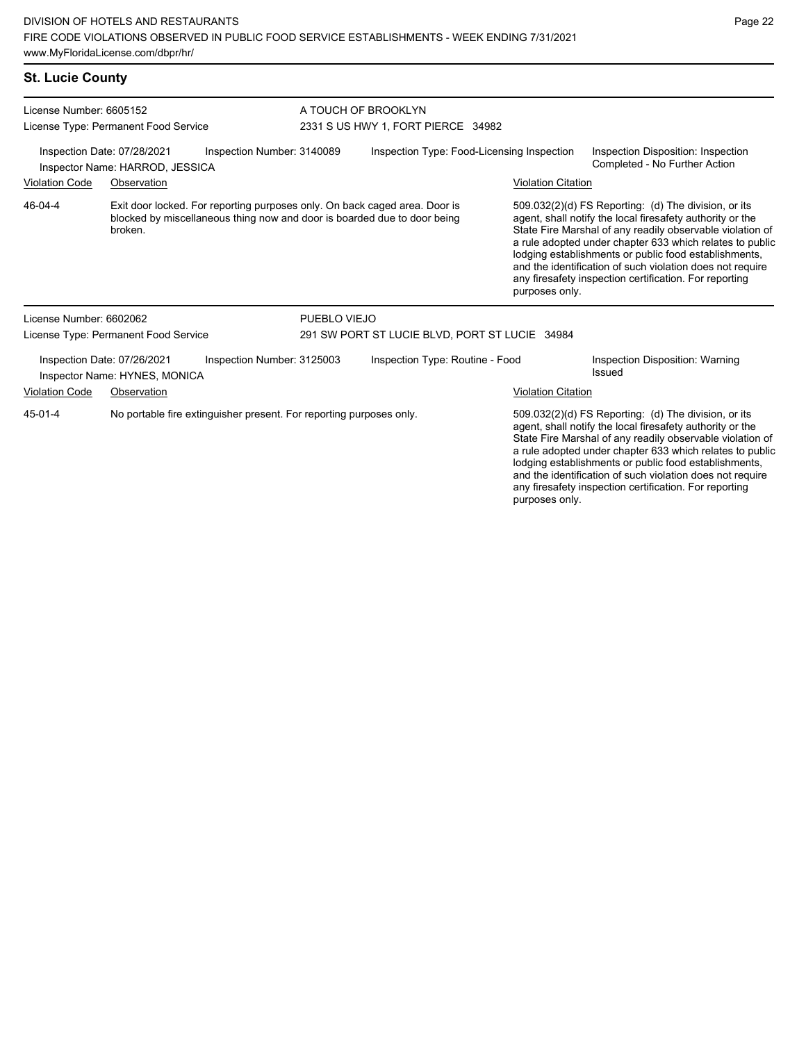#### **St. Lucie County**

| License Number: 6605152<br>License Type: Permanent Food Service                              |                                                              |                                                                                                                                                        | A TOUCH OF BROOKLYN<br>2331 S US HWY 1, FORT PIERCE 34982 |                                            |                                                                                                                                                                                                                                                                                                     |                           |                                                                                                                                                                                                                                                                                                                                                                                                                            |
|----------------------------------------------------------------------------------------------|--------------------------------------------------------------|--------------------------------------------------------------------------------------------------------------------------------------------------------|-----------------------------------------------------------|--------------------------------------------|-----------------------------------------------------------------------------------------------------------------------------------------------------------------------------------------------------------------------------------------------------------------------------------------------------|---------------------------|----------------------------------------------------------------------------------------------------------------------------------------------------------------------------------------------------------------------------------------------------------------------------------------------------------------------------------------------------------------------------------------------------------------------------|
| Inspection Date: 07/28/2021<br>Inspection Number: 3140089<br>Inspector Name: HARROD, JESSICA |                                                              |                                                                                                                                                        |                                                           | Inspection Type: Food-Licensing Inspection |                                                                                                                                                                                                                                                                                                     |                           | Inspection Disposition: Inspection<br>Completed - No Further Action                                                                                                                                                                                                                                                                                                                                                        |
| <b>Violation Code</b>                                                                        | Observation                                                  |                                                                                                                                                        |                                                           |                                            |                                                                                                                                                                                                                                                                                                     | <b>Violation Citation</b> |                                                                                                                                                                                                                                                                                                                                                                                                                            |
| 46-04-4                                                                                      | broken.                                                      | Exit door locked. For reporting purposes only. On back caged area. Door is<br>blocked by miscellaneous thing now and door is boarded due to door being |                                                           |                                            |                                                                                                                                                                                                                                                                                                     | purposes only.            | 509.032(2)(d) FS Reporting: (d) The division, or its<br>agent, shall notify the local firesafety authority or the<br>State Fire Marshal of any readily observable violation of<br>a rule adopted under chapter 633 which relates to public<br>lodging establishments or public food establishments,<br>and the identification of such violation does not require<br>any firesafety inspection certification. For reporting |
| License Number: 6602062                                                                      |                                                              |                                                                                                                                                        | PUEBLO VIEJO                                              |                                            |                                                                                                                                                                                                                                                                                                     |                           |                                                                                                                                                                                                                                                                                                                                                                                                                            |
| License Type: Permanent Food Service                                                         |                                                              |                                                                                                                                                        | 291 SW PORT ST LUCIE BLVD, PORT ST LUCIE 34984            |                                            |                                                                                                                                                                                                                                                                                                     |                           |                                                                                                                                                                                                                                                                                                                                                                                                                            |
|                                                                                              | Inspection Date: 07/26/2021<br>Inspector Name: HYNES, MONICA | Inspection Number: 3125003                                                                                                                             |                                                           | Inspection Type: Routine - Food            |                                                                                                                                                                                                                                                                                                     |                           | Inspection Disposition: Warning<br>Issued                                                                                                                                                                                                                                                                                                                                                                                  |
| <b>Violation Code</b><br>Observation                                                         |                                                              |                                                                                                                                                        |                                                           |                                            |                                                                                                                                                                                                                                                                                                     | <b>Violation Citation</b> |                                                                                                                                                                                                                                                                                                                                                                                                                            |
| No portable fire extinguisher present. For reporting purposes only.<br>45-01-4               |                                                              |                                                                                                                                                        |                                                           |                                            | 509.032(2)(d) FS Reporting: (d) The division, or its<br>agent, shall notify the local firesafety authority or the<br>State Fire Marshal of any readily observable violation of<br>a rule adopted under chapter 633 which relates to public<br>lodging establishments or public food establishments, |                           |                                                                                                                                                                                                                                                                                                                                                                                                                            |

and the identification of such violation does not require any firesafety inspection certification. For reporting